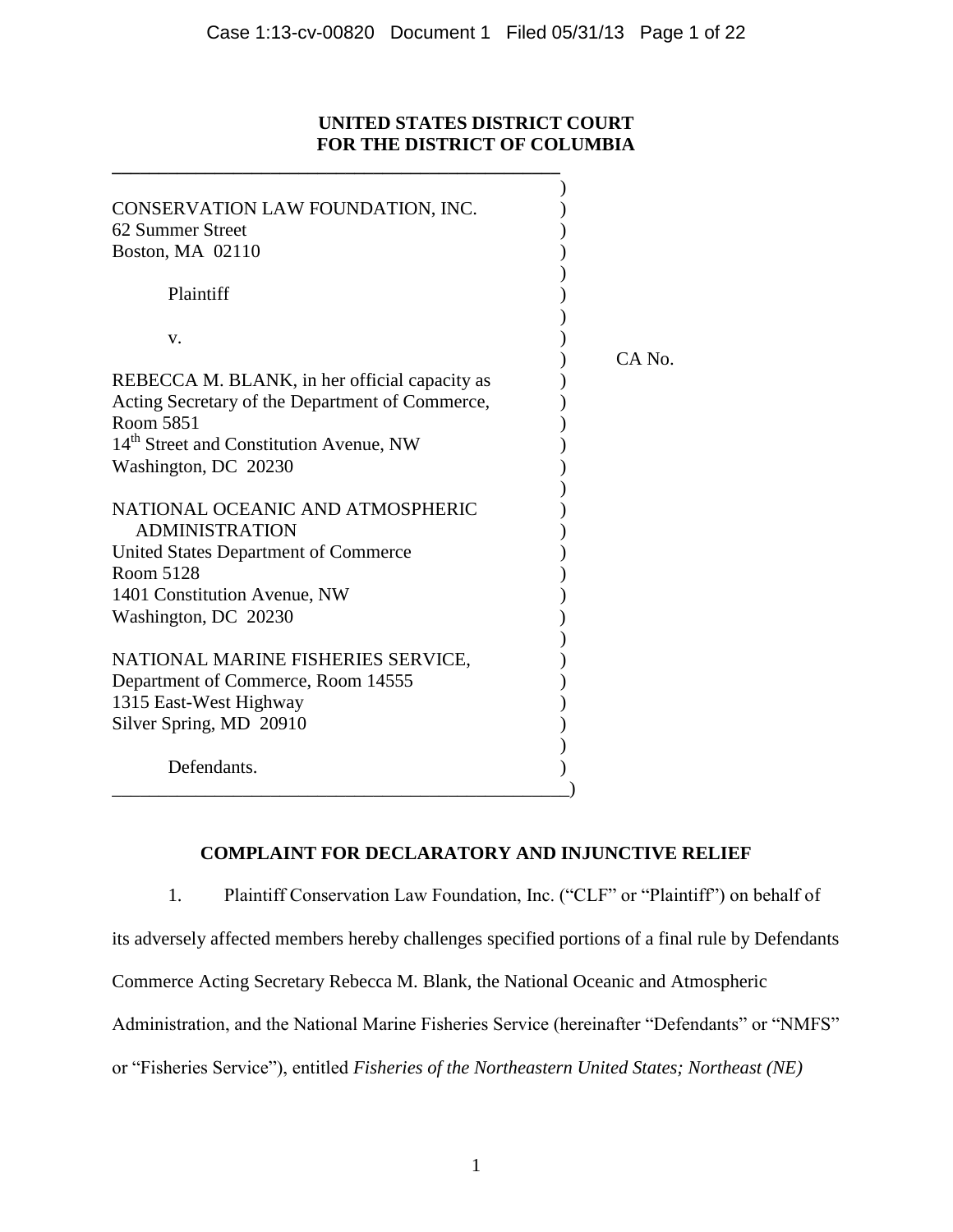## **UNITED STATES DISTRICT COURT FOR THE DISTRICT OF COLUMBIA**

| CONSERVATION LAW FOUNDATION, INC.<br>62 Summer Street     |        |
|-----------------------------------------------------------|--------|
| Boston, MA 02110                                          |        |
| Plaintiff                                                 |        |
| V.                                                        |        |
|                                                           | CA No. |
| REBECCA M. BLANK, in her official capacity as             |        |
| Acting Secretary of the Department of Commerce,           |        |
| Room 5851                                                 |        |
| 14 <sup>th</sup> Street and Constitution Avenue, NW       |        |
| Washington, DC 20230                                      |        |
| NATIONAL OCEANIC AND ATMOSPHERIC<br><b>ADMINISTRATION</b> |        |
| United States Department of Commerce                      |        |
| Room 5128                                                 |        |
| 1401 Constitution Avenue, NW                              |        |
| Washington, DC 20230                                      |        |
|                                                           |        |
| NATIONAL MARINE FISHERIES SERVICE,                        |        |
| Department of Commerce, Room 14555                        |        |
| 1315 East-West Highway                                    |        |
| Silver Spring, MD 20910                                   |        |
|                                                           |        |
| Defendants.                                               |        |
|                                                           |        |

**\_\_\_\_\_\_\_\_\_\_\_\_\_\_\_\_\_\_\_\_\_\_\_\_\_\_\_\_\_\_\_\_\_\_\_\_\_\_\_\_\_\_\_\_\_\_\_\_**

# **COMPLAINT FOR DECLARATORY AND INJUNCTIVE RELIEF**

1. Plaintiff Conservation Law Foundation, Inc. ("CLF" or "Plaintiff") on behalf of its adversely affected members hereby challenges specified portions of a final rule by Defendants Commerce Acting Secretary Rebecca M. Blank, the National Oceanic and Atmospheric Administration, and the National Marine Fisheries Service (hereinafter "Defendants" or "NMFS" or "Fisheries Service"), entitled *Fisheries of the Northeastern United States; Northeast (NE)*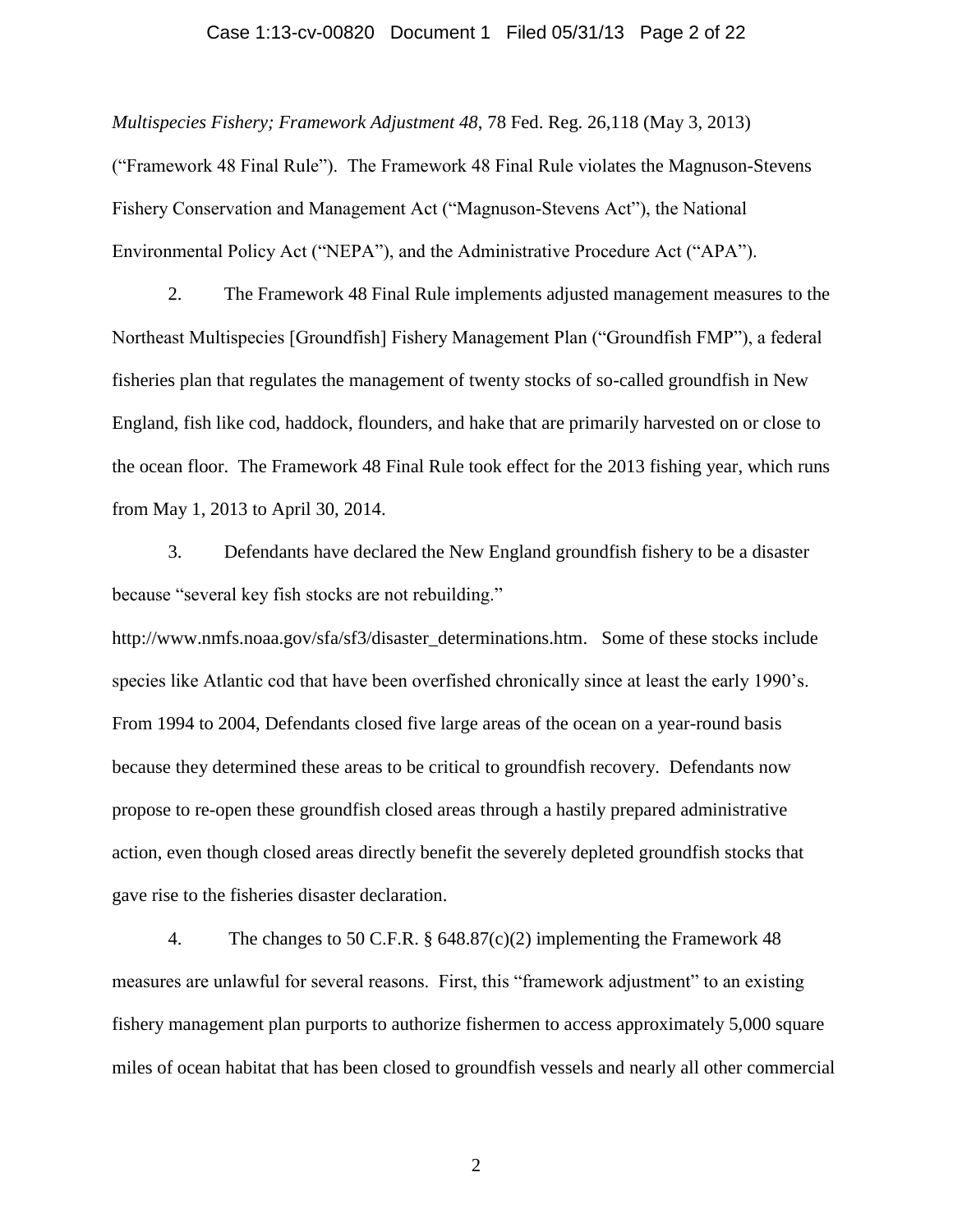#### Case 1:13-cv-00820 Document 1 Filed 05/31/13 Page 2 of 22

*Multispecies Fishery; Framework Adjustment 48*, 78 Fed. Reg. 26,118 (May 3, 2013)

("Framework 48 Final Rule"). The Framework 48 Final Rule violates the Magnuson-Stevens Fishery Conservation and Management Act ("Magnuson-Stevens Act"), the National Environmental Policy Act ("NEPA"), and the Administrative Procedure Act ("APA").

2. The Framework 48 Final Rule implements adjusted management measures to the Northeast Multispecies [Groundfish] Fishery Management Plan ("Groundfish FMP"), a federal fisheries plan that regulates the management of twenty stocks of so-called groundfish in New England, fish like cod, haddock, flounders, and hake that are primarily harvested on or close to the ocean floor. The Framework 48 Final Rule took effect for the 2013 fishing year, which runs from May 1, 2013 to April 30, 2014.

3. Defendants have declared the New England groundfish fishery to be a disaster because "several key fish stocks are not rebuilding."

http://www.nmfs.noaa.gov/sfa/sf3/disaster\_determinations.htm. Some of these stocks include species like Atlantic cod that have been overfished chronically since at least the early 1990's. From 1994 to 2004, Defendants closed five large areas of the ocean on a year-round basis because they determined these areas to be critical to groundfish recovery. Defendants now propose to re-open these groundfish closed areas through a hastily prepared administrative action, even though closed areas directly benefit the severely depleted groundfish stocks that gave rise to the fisheries disaster declaration.

4. The changes to 50 C.F.R. § 648.87(c)(2) implementing the Framework 48 measures are unlawful for several reasons. First, this "framework adjustment" to an existing fishery management plan purports to authorize fishermen to access approximately 5,000 square miles of ocean habitat that has been closed to groundfish vessels and nearly all other commercial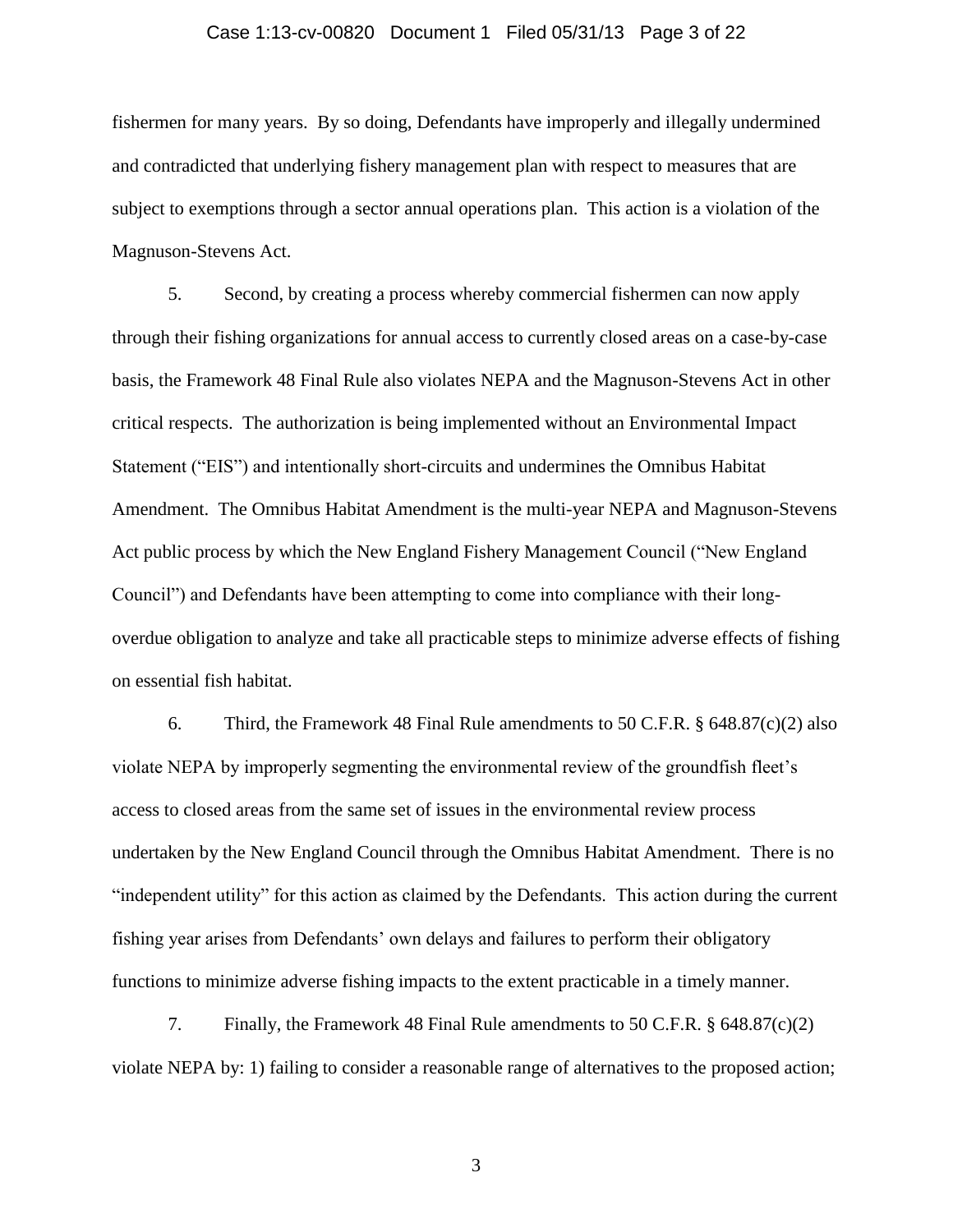## Case 1:13-cv-00820 Document 1 Filed 05/31/13 Page 3 of 22

fishermen for many years. By so doing, Defendants have improperly and illegally undermined and contradicted that underlying fishery management plan with respect to measures that are subject to exemptions through a sector annual operations plan. This action is a violation of the Magnuson-Stevens Act.

5. Second, by creating a process whereby commercial fishermen can now apply through their fishing organizations for annual access to currently closed areas on a case-by-case basis, the Framework 48 Final Rule also violates NEPA and the Magnuson-Stevens Act in other critical respects. The authorization is being implemented without an Environmental Impact Statement ("EIS") and intentionally short-circuits and undermines the Omnibus Habitat Amendment. The Omnibus Habitat Amendment is the multi-year NEPA and Magnuson-Stevens Act public process by which the New England Fishery Management Council ("New England Council") and Defendants have been attempting to come into compliance with their longoverdue obligation to analyze and take all practicable steps to minimize adverse effects of fishing on essential fish habitat.

6. Third, the Framework 48 Final Rule amendments to 50 C.F.R.  $\S$  648.87(c)(2) also violate NEPA by improperly segmenting the environmental review of the groundfish fleet's access to closed areas from the same set of issues in the environmental review process undertaken by the New England Council through the Omnibus Habitat Amendment. There is no "independent utility" for this action as claimed by the Defendants. This action during the current fishing year arises from Defendants' own delays and failures to perform their obligatory functions to minimize adverse fishing impacts to the extent practicable in a timely manner.

7. Finally, the Framework 48 Final Rule amendments to 50 C.F.R. § 648.87(c)(2) violate NEPA by: 1) failing to consider a reasonable range of alternatives to the proposed action;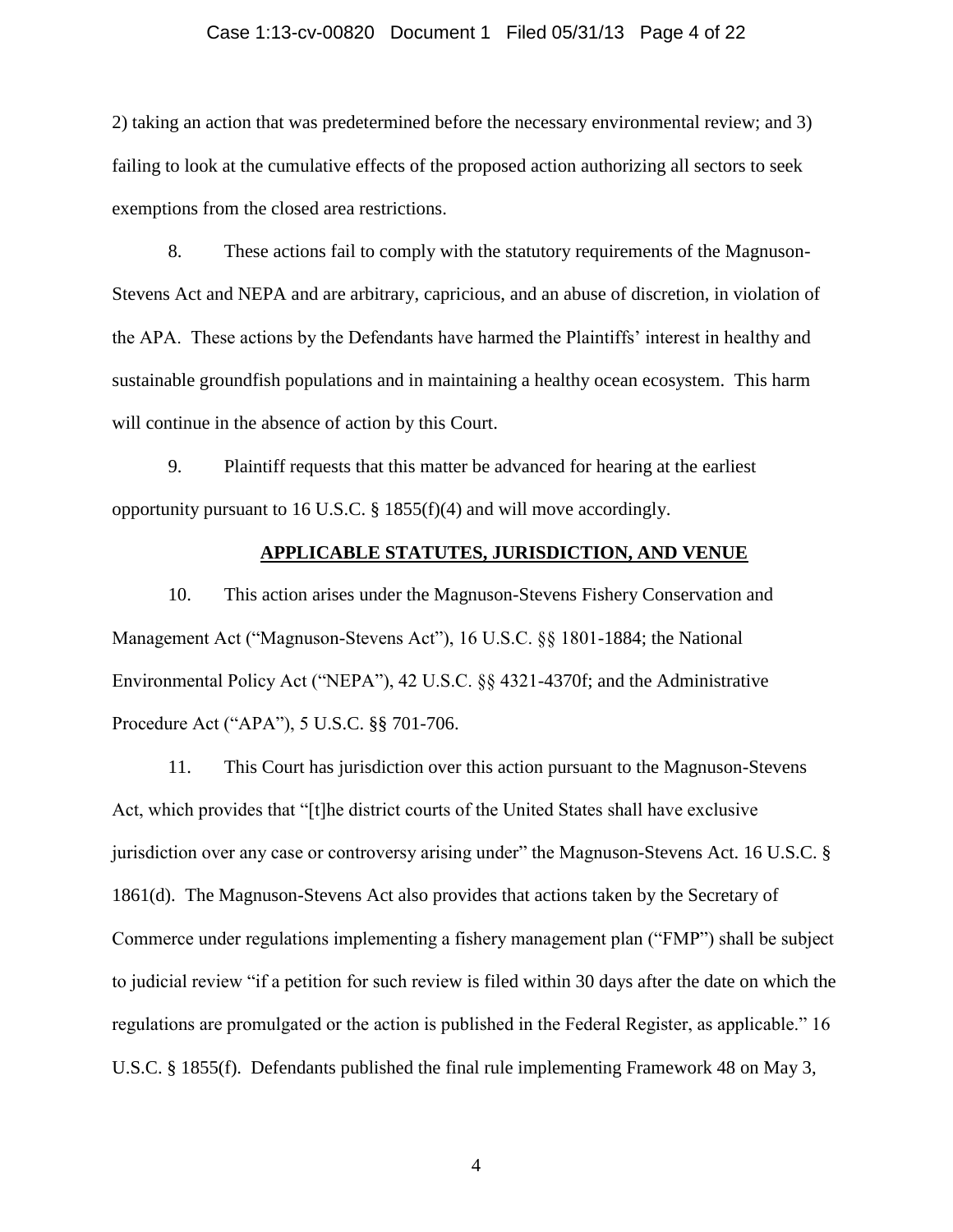#### Case 1:13-cv-00820 Document 1 Filed 05/31/13 Page 4 of 22

2) taking an action that was predetermined before the necessary environmental review; and 3) failing to look at the cumulative effects of the proposed action authorizing all sectors to seek exemptions from the closed area restrictions.

8. These actions fail to comply with the statutory requirements of the Magnuson-Stevens Act and NEPA and are arbitrary, capricious, and an abuse of discretion, in violation of the APA. These actions by the Defendants have harmed the Plaintiffs' interest in healthy and sustainable groundfish populations and in maintaining a healthy ocean ecosystem. This harm will continue in the absence of action by this Court.

9. Plaintiff requests that this matter be advanced for hearing at the earliest opportunity pursuant to 16 U.S.C. § 1855(f)(4) and will move accordingly.

### **APPLICABLE STATUTES, JURISDICTION, AND VENUE**

10. This action arises under the Magnuson-Stevens Fishery Conservation and Management Act ("Magnuson-Stevens Act"), 16 U.S.C. §§ 1801-1884; the National Environmental Policy Act ("NEPA"), 42 U.S.C. §§ 4321-4370f; and the Administrative Procedure Act ("APA"), 5 U.S.C. §§ 701-706.

11. This Court has jurisdiction over this action pursuant to the Magnuson-Stevens Act, which provides that "[t]he district courts of the United States shall have exclusive jurisdiction over any case or controversy arising under" the Magnuson-Stevens Act. 16 U.S.C. § 1861(d). The Magnuson-Stevens Act also provides that actions taken by the Secretary of Commerce under regulations implementing a fishery management plan ("FMP") shall be subject to judicial review "if a petition for such review is filed within 30 days after the date on which the regulations are promulgated or the action is published in the Federal Register, as applicable." 16 U.S.C. § 1855(f). Defendants published the final rule implementing Framework 48 on May 3,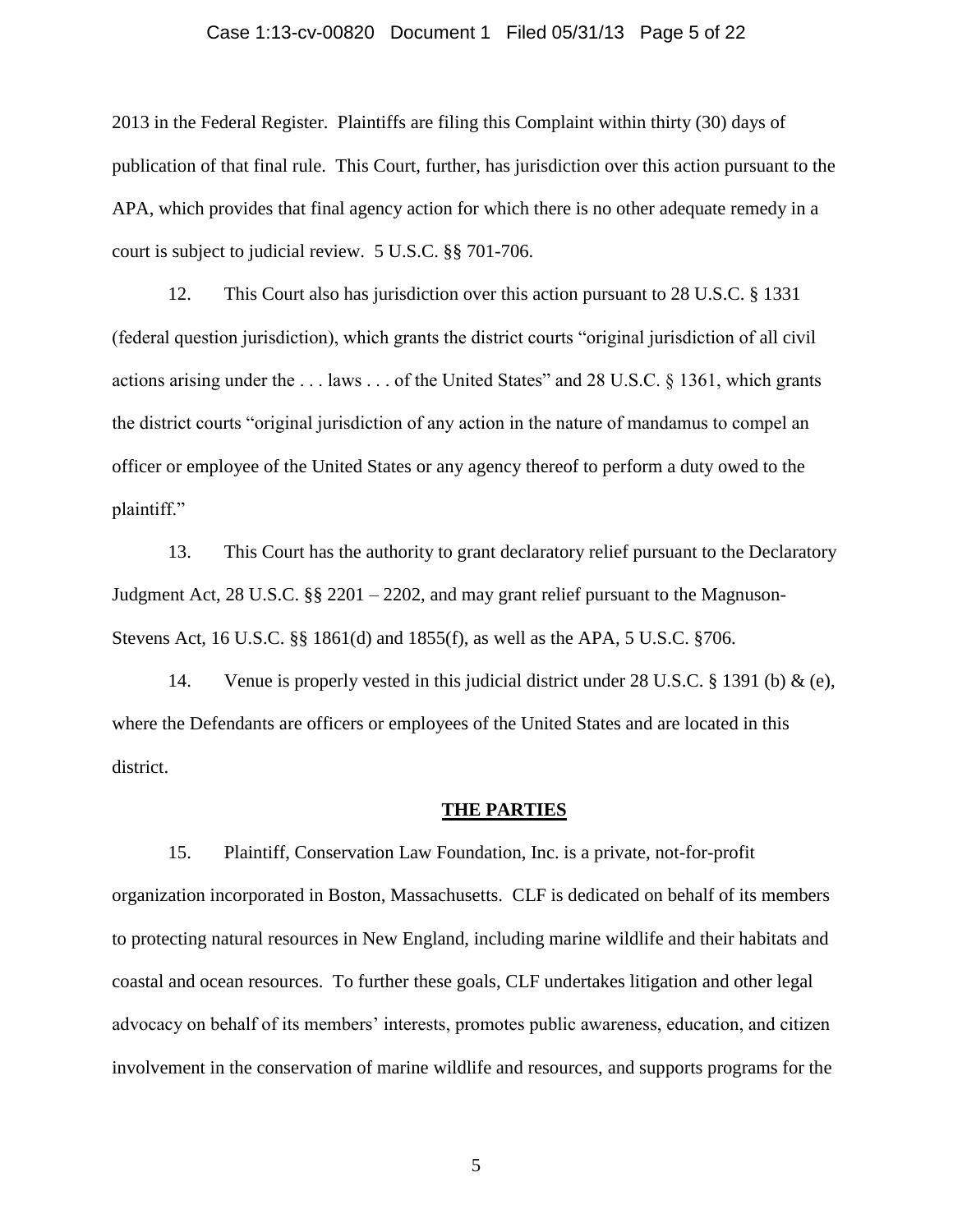### Case 1:13-cv-00820 Document 1 Filed 05/31/13 Page 5 of 22

2013 in the Federal Register. Plaintiffs are filing this Complaint within thirty (30) days of publication of that final rule. This Court, further, has jurisdiction over this action pursuant to the APA, which provides that final agency action for which there is no other adequate remedy in a court is subject to judicial review. 5 U.S.C. §§ 701-706.

12. This Court also has jurisdiction over this action pursuant to 28 U.S.C. § 1331 (federal question jurisdiction), which grants the district courts "original jurisdiction of all civil actions arising under the . . . laws . . . of the United States" and 28 U.S.C. § 1361, which grants the district courts "original jurisdiction of any action in the nature of mandamus to compel an officer or employee of the United States or any agency thereof to perform a duty owed to the plaintiff."

13. This Court has the authority to grant declaratory relief pursuant to the Declaratory Judgment Act, 28 U.S.C.  $\S$  2201 – 2202, and may grant relief pursuant to the Magnuson-Stevens Act, 16 U.S.C. §§ 1861(d) and 1855(f), as well as the APA, 5 U.S.C. §706.

14. Venue is properly vested in this judicial district under 28 U.S.C. § 1391 (b) & (e), where the Defendants are officers or employees of the United States and are located in this district.

#### **THE PARTIES**

15. Plaintiff, Conservation Law Foundation, Inc. is a private, not-for-profit organization incorporated in Boston, Massachusetts. CLF is dedicated on behalf of its members to protecting natural resources in New England, including marine wildlife and their habitats and coastal and ocean resources. To further these goals, CLF undertakes litigation and other legal advocacy on behalf of its members' interests, promotes public awareness, education, and citizen involvement in the conservation of marine wildlife and resources, and supports programs for the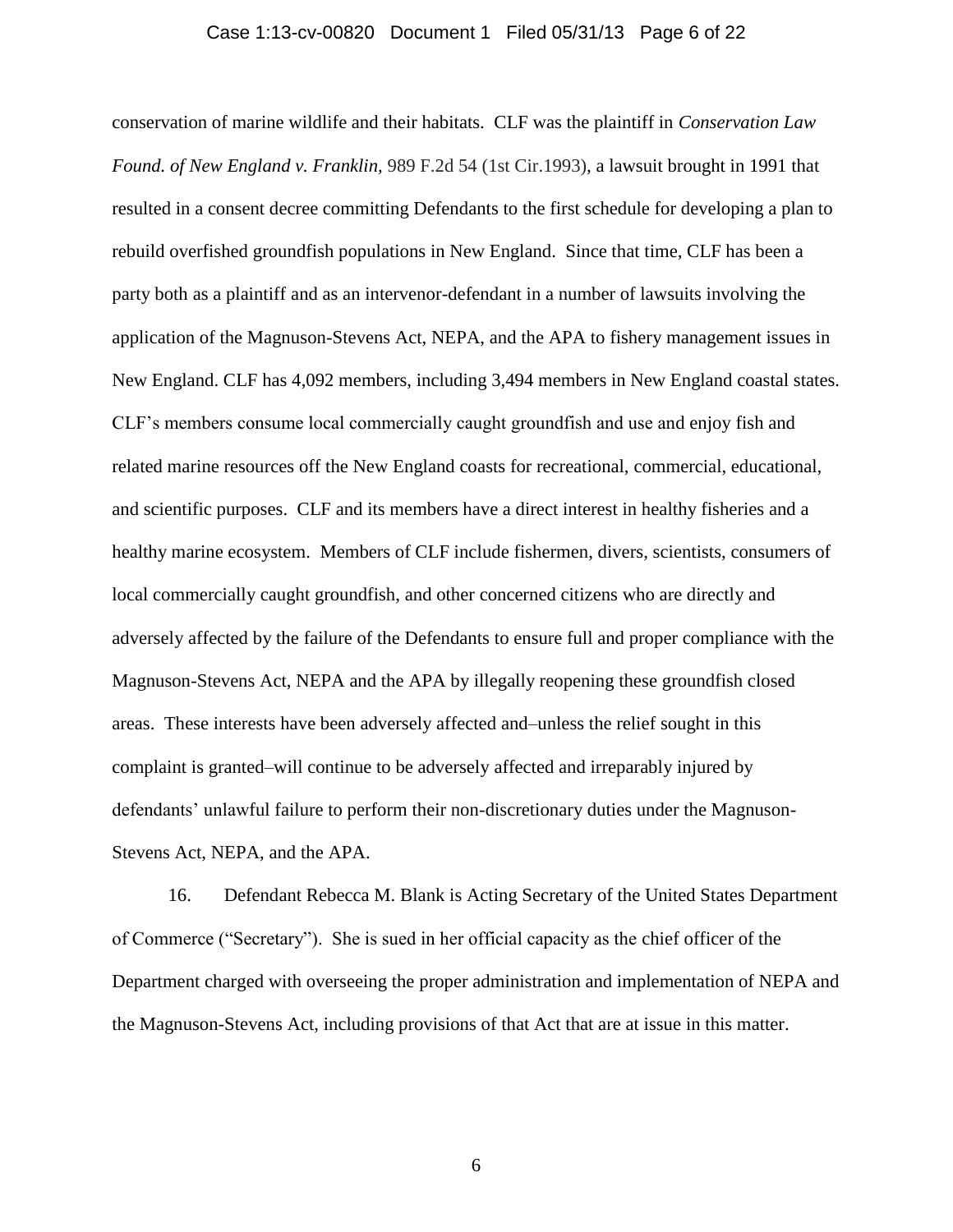#### Case 1:13-cv-00820 Document 1 Filed 05/31/13 Page 6 of 22

conservation of marine wildlife and their habitats. CLF was the plaintiff in *Conservation Law Found. of New England v. Franklin,* 989 F.2d 54 (1st Cir.1993)*,* a lawsuit brought in 1991 that resulted in a consent decree committing Defendants to the first schedule for developing a plan to rebuild overfished groundfish populations in New England. Since that time, CLF has been a party both as a plaintiff and as an intervenor-defendant in a number of lawsuits involving the application of the Magnuson-Stevens Act, NEPA, and the APA to fishery management issues in New England. CLF has 4,092 members, including 3,494 members in New England coastal states. CLF's members consume local commercially caught groundfish and use and enjoy fish and related marine resources off the New England coasts for recreational, commercial, educational, and scientific purposes. CLF and its members have a direct interest in healthy fisheries and a healthy marine ecosystem. Members of CLF include fishermen, divers, scientists, consumers of local commercially caught groundfish, and other concerned citizens who are directly and adversely affected by the failure of the Defendants to ensure full and proper compliance with the Magnuson-Stevens Act, NEPA and the APA by illegally reopening these groundfish closed areas. These interests have been adversely affected and–unless the relief sought in this complaint is granted–will continue to be adversely affected and irreparably injured by defendants' unlawful failure to perform their non-discretionary duties under the Magnuson-Stevens Act, NEPA, and the APA.

16. Defendant Rebecca M. Blank is Acting Secretary of the United States Department of Commerce ("Secretary"). She is sued in her official capacity as the chief officer of the Department charged with overseeing the proper administration and implementation of NEPA and the Magnuson-Stevens Act, including provisions of that Act that are at issue in this matter.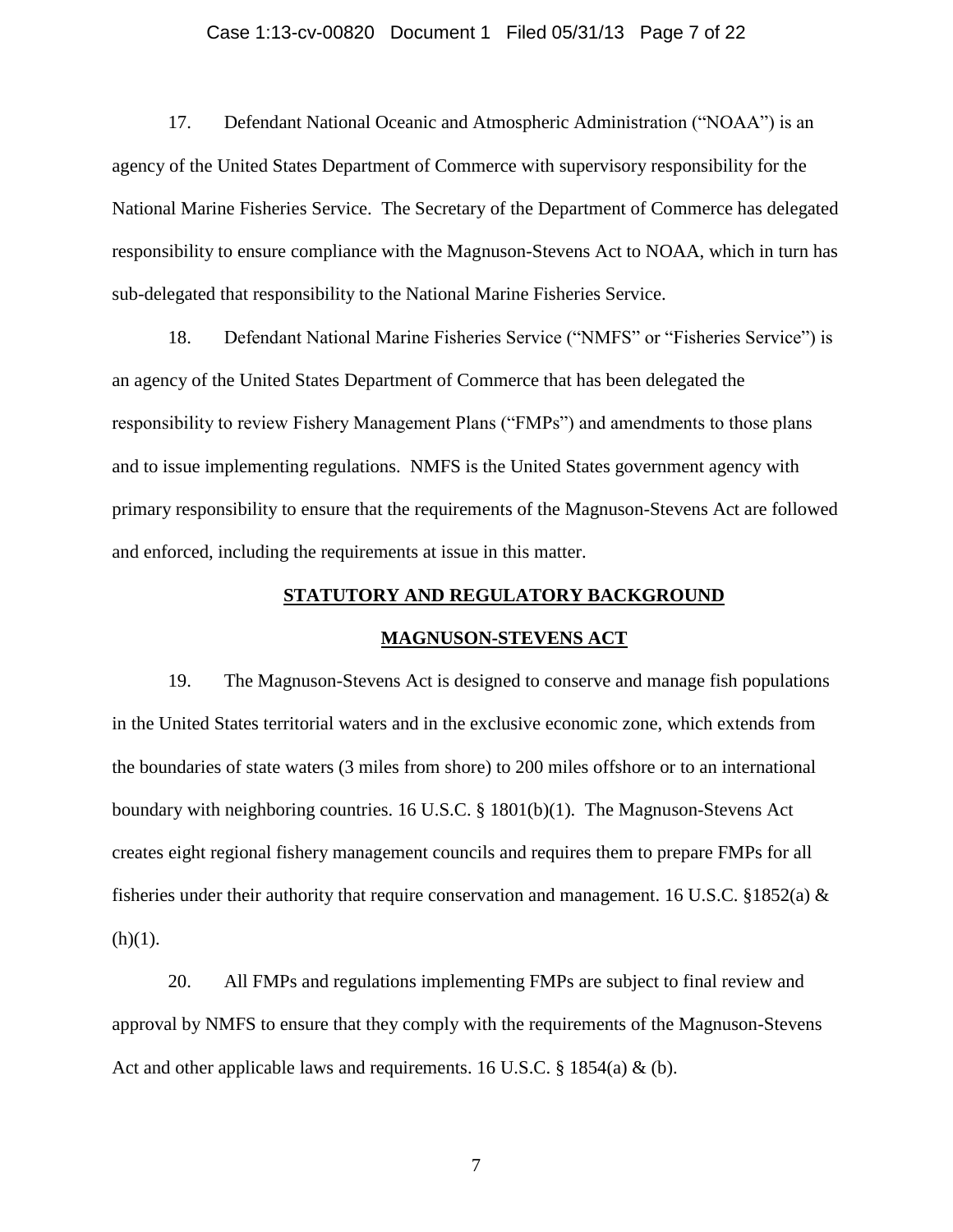#### Case 1:13-cv-00820 Document 1 Filed 05/31/13 Page 7 of 22

17. Defendant National Oceanic and Atmospheric Administration ("NOAA") is an agency of the United States Department of Commerce with supervisory responsibility for the National Marine Fisheries Service. The Secretary of the Department of Commerce has delegated responsibility to ensure compliance with the Magnuson-Stevens Act to NOAA, which in turn has sub-delegated that responsibility to the National Marine Fisheries Service.

18. Defendant National Marine Fisheries Service ("NMFS" or "Fisheries Service") is an agency of the United States Department of Commerce that has been delegated the responsibility to review Fishery Management Plans ("FMPs") and amendments to those plans and to issue implementing regulations. NMFS is the United States government agency with primary responsibility to ensure that the requirements of the Magnuson-Stevens Act are followed and enforced, including the requirements at issue in this matter.

### **STATUTORY AND REGULATORY BACKGROUND**

#### **MAGNUSON-STEVENS ACT**

19. The Magnuson-Stevens Act is designed to conserve and manage fish populations in the United States territorial waters and in the exclusive economic zone, which extends from the boundaries of state waters (3 miles from shore) to 200 miles offshore or to an international boundary with neighboring countries. 16 U.S.C. § 1801(b)(1). The Magnuson-Stevens Act creates eight regional fishery management councils and requires them to prepare FMPs for all fisheries under their authority that require conservation and management. 16 U.S.C. §1852(a)  $\&$  $(h)(1)$ .

20. All FMPs and regulations implementing FMPs are subject to final review and approval by NMFS to ensure that they comply with the requirements of the Magnuson-Stevens Act and other applicable laws and requirements. 16 U.S.C. § 1854(a) & (b).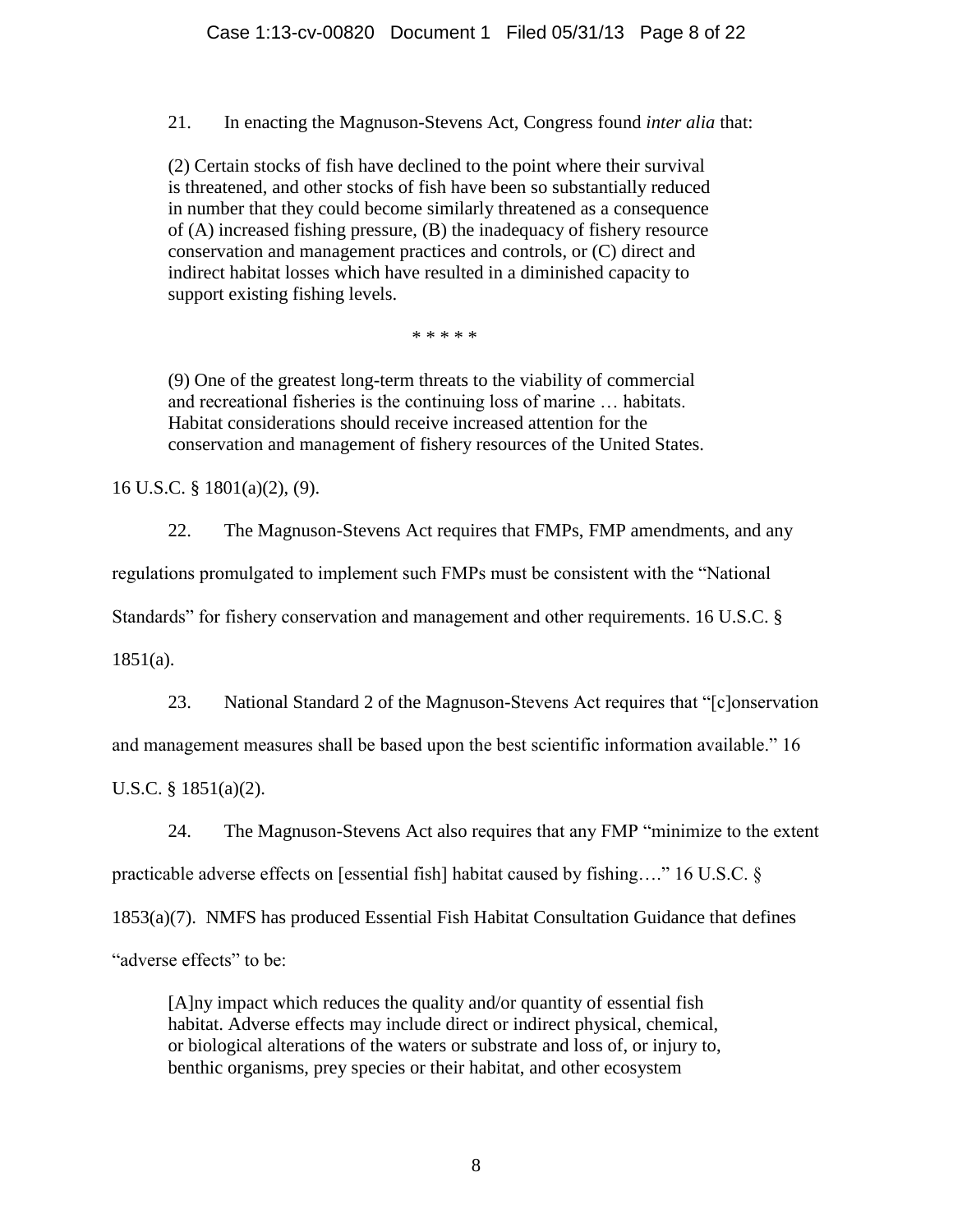21. In enacting the Magnuson-Stevens Act, Congress found *inter alia* that:

(2) Certain stocks of fish have declined to the point where their survival is threatened, and other stocks of fish have been so substantially reduced in number that they could become similarly threatened as a consequence of (A) increased fishing pressure, (B) the inadequacy of fishery resource conservation and management practices and controls, or (C) direct and indirect habitat losses which have resulted in a diminished capacity to support existing fishing levels.

\* \* \* \* \*

(9) One of the greatest long-term threats to the viability of commercial and recreational fisheries is the continuing loss of marine … habitats. Habitat considerations should receive increased attention for the conservation and management of fishery resources of the United States.

16 U.S.C. § 1801(a)(2), (9).

22. The Magnuson-Stevens Act requires that FMPs, FMP amendments, and any regulations promulgated to implement such FMPs must be consistent with the "National

Standards" for fishery conservation and management and other requirements. 16 U.S.C. §

1851(a).

23. National Standard 2 of the Magnuson-Stevens Act requires that "[c]onservation

and management measures shall be based upon the best scientific information available." 16

U.S.C. § 1851(a)(2).

24. The Magnuson-Stevens Act also requires that any FMP "minimize to the extent

practicable adverse effects on [essential fish] habitat caused by fishing…." 16 U.S.C. §

1853(a)(7). NMFS has produced Essential Fish Habitat Consultation Guidance that defines

"adverse effects" to be:

[A]ny impact which reduces the quality and/or quantity of essential fish habitat. Adverse effects may include direct or indirect physical, chemical, or biological alterations of the waters or substrate and loss of, or injury to, benthic organisms, prey species or their habitat, and other ecosystem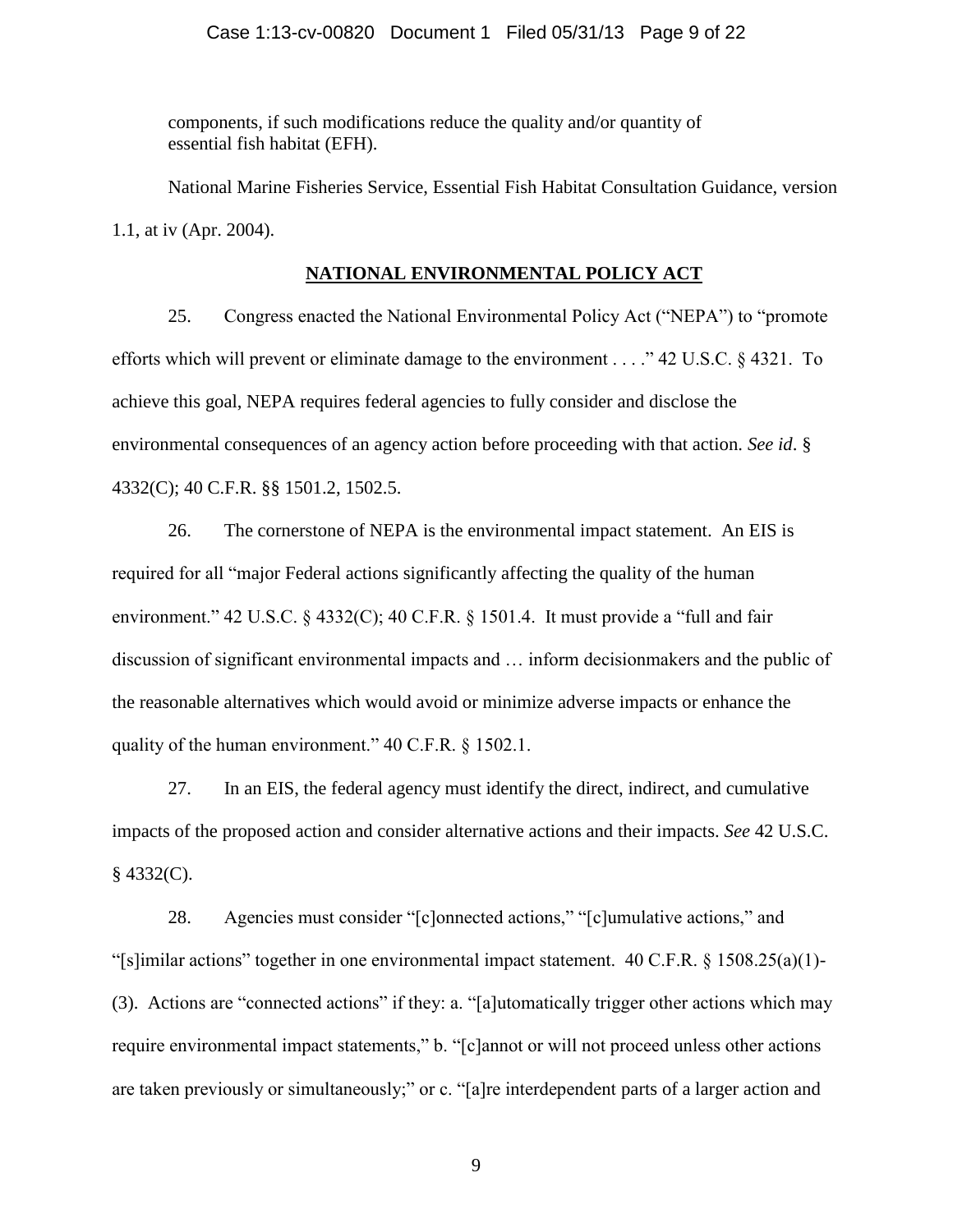components, if such modifications reduce the quality and/or quantity of essential fish habitat (EFH).

National Marine Fisheries Service, Essential Fish Habitat Consultation Guidance, version 1.1, at iv (Apr. 2004).

## **NATIONAL ENVIRONMENTAL POLICY ACT**

25. Congress enacted the National Environmental Policy Act ("NEPA") to "promote efforts which will prevent or eliminate damage to the environment . . . ." 42 U.S.C. § 4321. To achieve this goal, NEPA requires federal agencies to fully consider and disclose the environmental consequences of an agency action before proceeding with that action. *See id*. § 4332(C); 40 C.F.R. §§ 1501.2, 1502.5.

26. The cornerstone of NEPA is the environmental impact statement. An EIS is required for all "major Federal actions significantly affecting the quality of the human environment." 42 U.S.C. § 4332(C); 40 C.F.R. § 1501.4. It must provide a "full and fair discussion of significant environmental impacts and … inform decisionmakers and the public of the reasonable alternatives which would avoid or minimize adverse impacts or enhance the quality of the human environment." 40 C.F.R. § 1502.1.

27. In an EIS, the federal agency must identify the direct, indirect, and cumulative impacts of the proposed action and consider alternative actions and their impacts. *See* 42 U.S.C.  $§$  4332(C).

28. Agencies must consider "[c]onnected actions," "[c]umulative actions," and "[s]imilar actions" together in one environmental impact statement.  $40 \text{ C.F.R. }$  §  $1508.25(a)(1)$ -(3). Actions are "connected actions" if they: a. "[a]utomatically trigger other actions which may require environmental impact statements," b. "[c]annot or will not proceed unless other actions are taken previously or simultaneously;" or c. "[a]re interdependent parts of a larger action and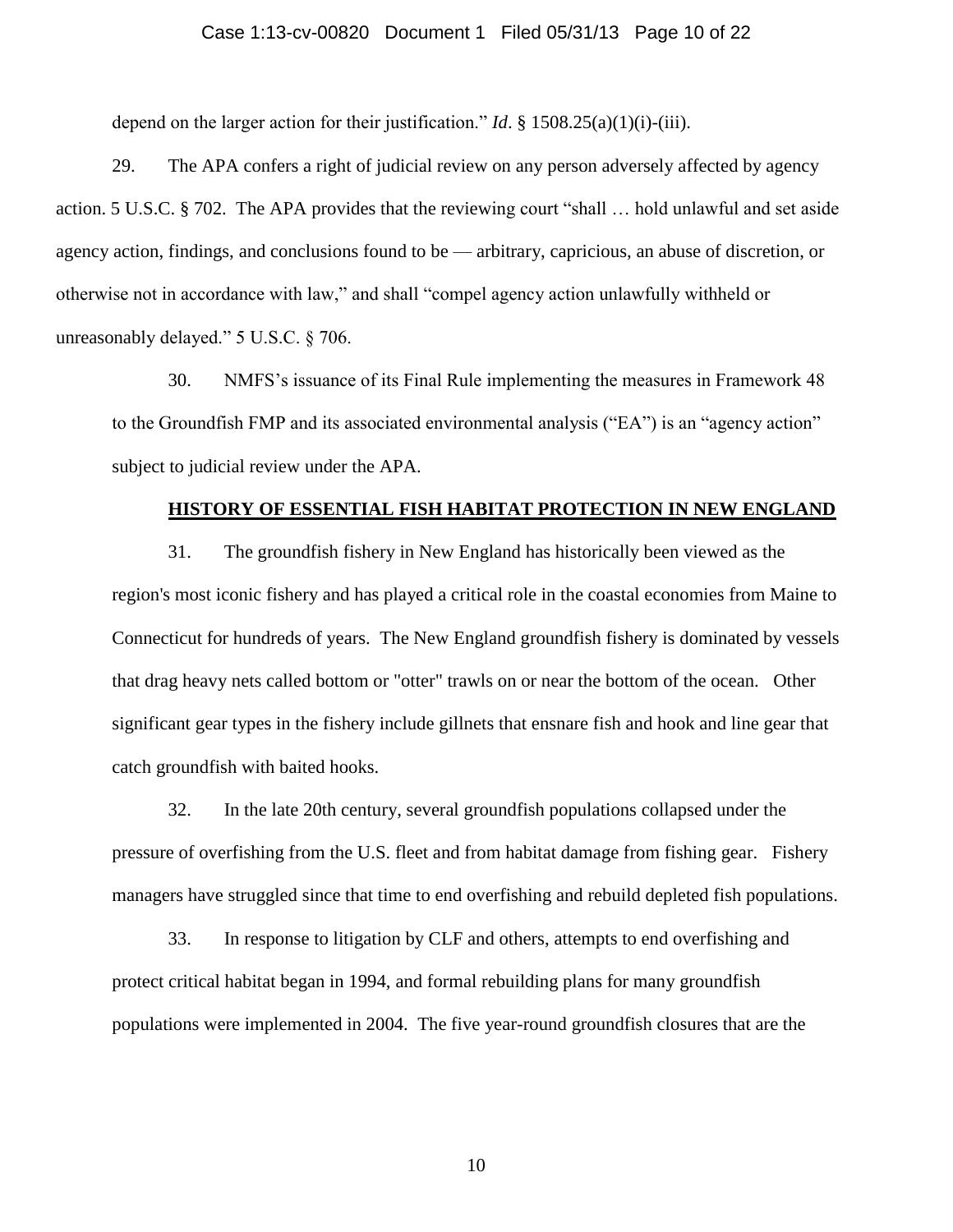#### Case 1:13-cv-00820 Document 1 Filed 05/31/13 Page 10 of 22

depend on the larger action for their justification." *Id*. § 1508.25(a)(1)(i)-(iii).

29. The APA confers a right of judicial review on any person adversely affected by agency action. 5 U.S.C. § 702. The APA provides that the reviewing court "shall … hold unlawful and set aside agency action, findings, and conclusions found to be — arbitrary, capricious, an abuse of discretion, or otherwise not in accordance with law," and shall "compel agency action unlawfully withheld or unreasonably delayed." 5 U.S.C. § 706.

30. NMFS's issuance of its Final Rule implementing the measures in Framework 48 to the Groundfish FMP and its associated environmental analysis ("EA") is an "agency action" subject to judicial review under the APA.

#### **HISTORY OF ESSENTIAL FISH HABITAT PROTECTION IN NEW ENGLAND**

31. The groundfish fishery in New England has historically been viewed as the region's most iconic fishery and has played a critical role in the coastal economies from Maine to Connecticut for hundreds of years. The New England groundfish fishery is dominated by vessels that drag heavy nets called bottom or "otter" trawls on or near the bottom of the ocean. Other significant gear types in the fishery include gillnets that ensnare fish and hook and line gear that catch groundfish with baited hooks.

32. In the late 20th century, several groundfish populations collapsed under the pressure of overfishing from the U.S. fleet and from habitat damage from fishing gear. Fishery managers have struggled since that time to end overfishing and rebuild depleted fish populations.

33. In response to litigation by CLF and others, attempts to end overfishing and protect critical habitat began in 1994, and formal rebuilding plans for many groundfish populations were implemented in 2004. The five year-round groundfish closures that are the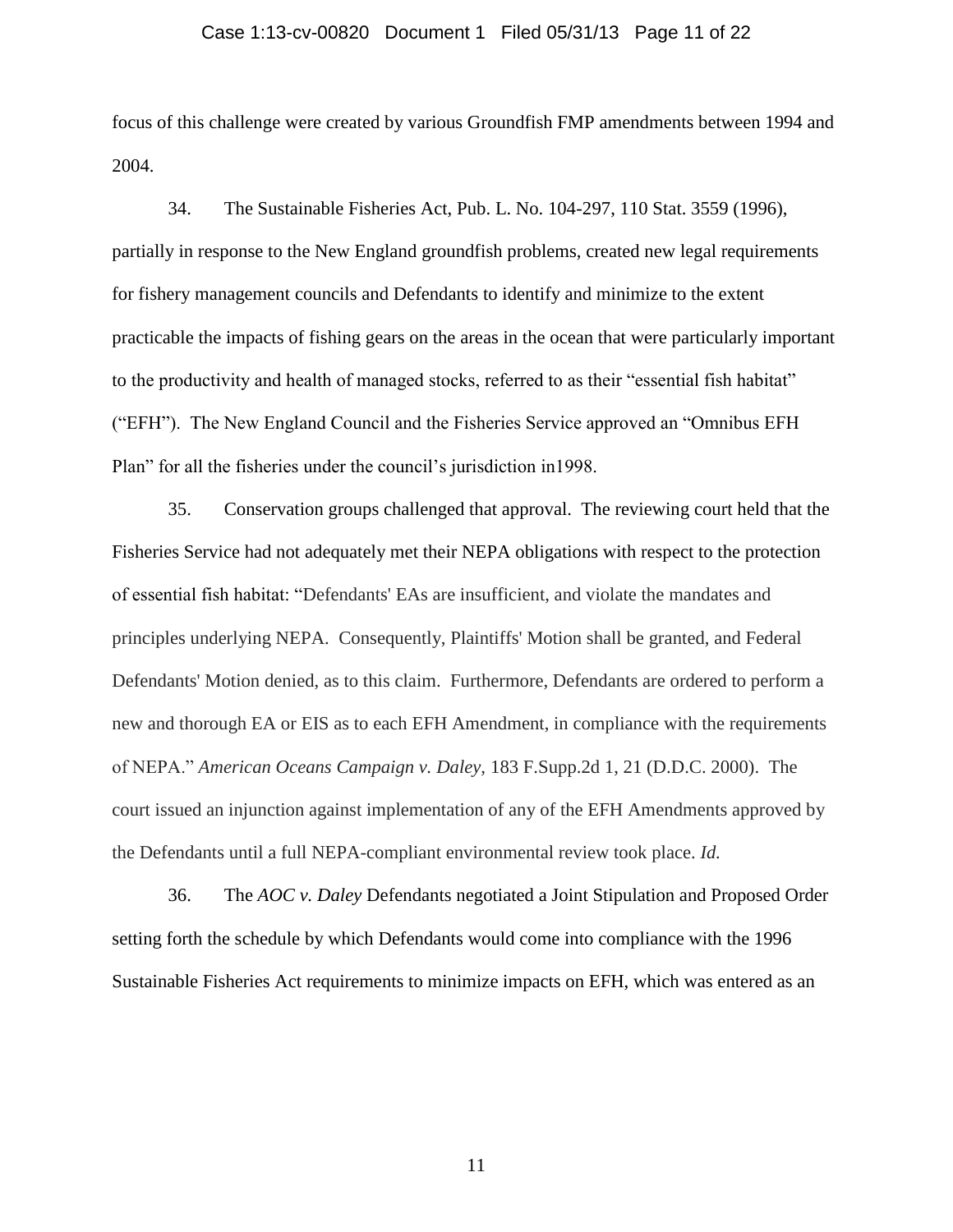#### Case 1:13-cv-00820 Document 1 Filed 05/31/13 Page 11 of 22

focus of this challenge were created by various Groundfish FMP amendments between 1994 and 2004.

34. The Sustainable Fisheries Act, Pub. L. No. 104-297, 110 Stat. 3559 (1996), partially in response to the New England groundfish problems, created new legal requirements for fishery management councils and Defendants to identify and minimize to the extent practicable the impacts of fishing gears on the areas in the ocean that were particularly important to the productivity and health of managed stocks, referred to as their "essential fish habitat" ("EFH"). The New England Council and the Fisheries Service approved an "Omnibus EFH Plan" for all the fisheries under the council's jurisdiction in1998.

35. Conservation groups challenged that approval. The reviewing court held that the Fisheries Service had not adequately met their NEPA obligations with respect to the protection of essential fish habitat: "Defendants' EAs are insufficient, and violate the mandates and principles underlying NEPA. Consequently, Plaintiffs' Motion shall be granted, and Federal Defendants' Motion denied, as to this claim. Furthermore, Defendants are ordered to perform a new and thorough EA or EIS as to each EFH Amendment, in compliance with the requirements of NEPA." *American Oceans Campaign v. Daley,* 183 F.Supp.2d 1, 21 (D.D.C. 2000). The court issued an injunction against implementation of any of the EFH Amendments approved by the Defendants until a full NEPA-compliant environmental review took place. *Id.*

36. The *AOC v. Daley* Defendants negotiated a Joint Stipulation and Proposed Order setting forth the schedule by which Defendants would come into compliance with the 1996 Sustainable Fisheries Act requirements to minimize impacts on EFH, which was entered as an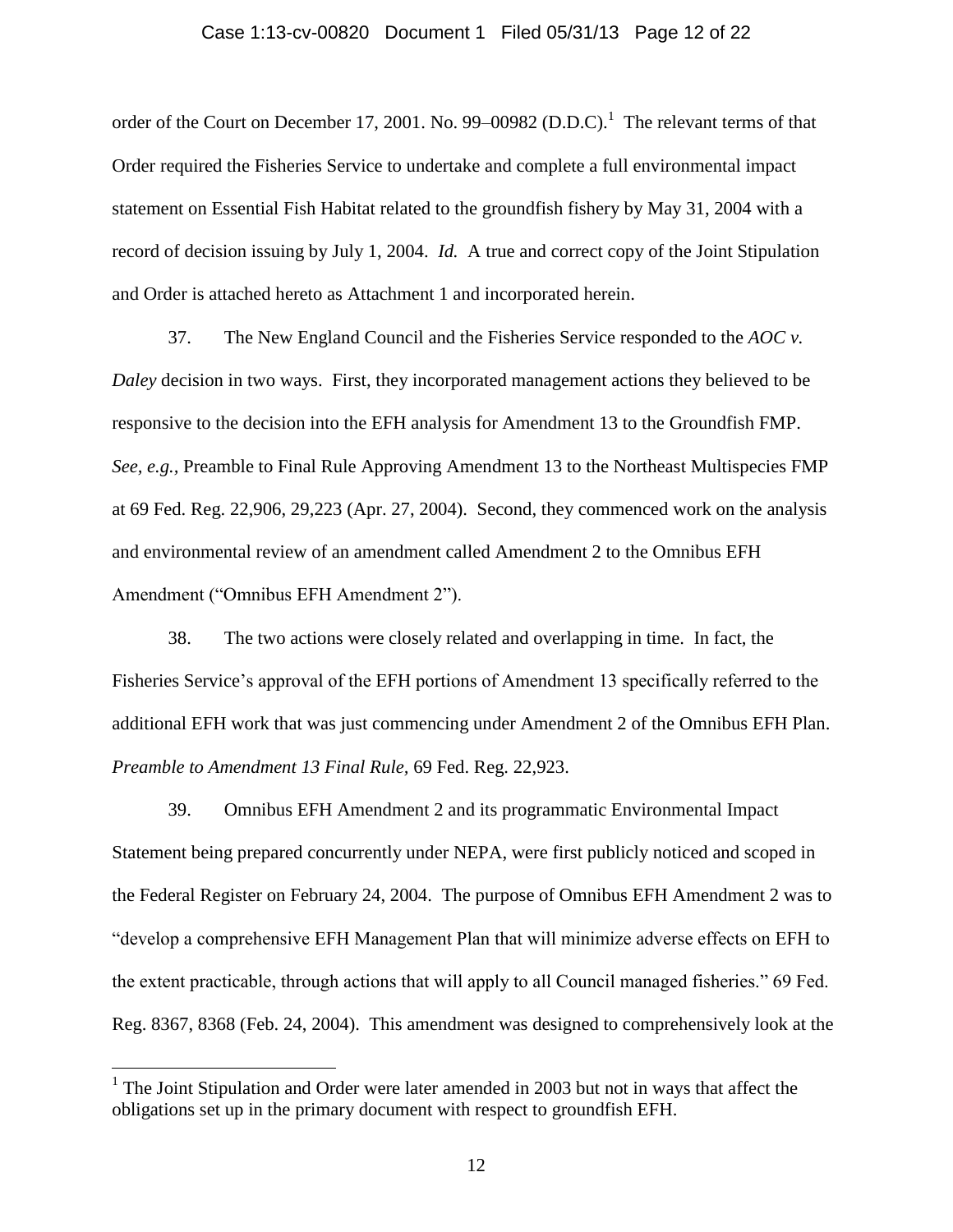#### Case 1:13-cv-00820 Document 1 Filed 05/31/13 Page 12 of 22

order of the Court on December 17, 2001. No. 99–00982  $(D.D.C).<sup>1</sup>$  The relevant terms of that Order required the Fisheries Service to undertake and complete a full environmental impact statement on Essential Fish Habitat related to the groundfish fishery by May 31, 2004 with a record of decision issuing by July 1, 2004. *Id.* A true and correct copy of the Joint Stipulation and Order is attached hereto as Attachment 1 and incorporated herein.

37. The New England Council and the Fisheries Service responded to the *AOC v. Daley* decision in two ways. First, they incorporated management actions they believed to be responsive to the decision into the EFH analysis for Amendment 13 to the Groundfish FMP. *See, e.g.,* Preamble to Final Rule Approving Amendment 13 to the Northeast Multispecies FMP at 69 Fed. Reg. 22,906, 29,223 (Apr. 27, 2004).Second, they commenced work on the analysis and environmental review of an amendment called Amendment 2 to the Omnibus EFH Amendment ("Omnibus EFH Amendment 2").

38. The two actions were closely related and overlapping in time. In fact, the Fisheries Service's approval of the EFH portions of Amendment 13 specifically referred to the additional EFH work that was just commencing under Amendment 2 of the Omnibus EFH Plan. *Preamble to Amendment 13 Final Rule,* 69 Fed. Reg. 22,923.

39. Omnibus EFH Amendment 2 and its programmatic Environmental Impact Statement being prepared concurrently under NEPA, were first publicly noticed and scoped in the Federal Register on February 24, 2004. The purpose of Omnibus EFH Amendment 2 was to "develop a comprehensive EFH Management Plan that will minimize adverse effects on EFH to the extent practicable, through actions that will apply to all Council managed fisheries." 69 Fed. Reg. 8367, 8368 (Feb. 24, 2004). This amendment was designed to comprehensively look at the

 $\overline{a}$ 

<sup>&</sup>lt;sup>1</sup> The Joint Stipulation and Order were later amended in 2003 but not in ways that affect the obligations set up in the primary document with respect to groundfish EFH.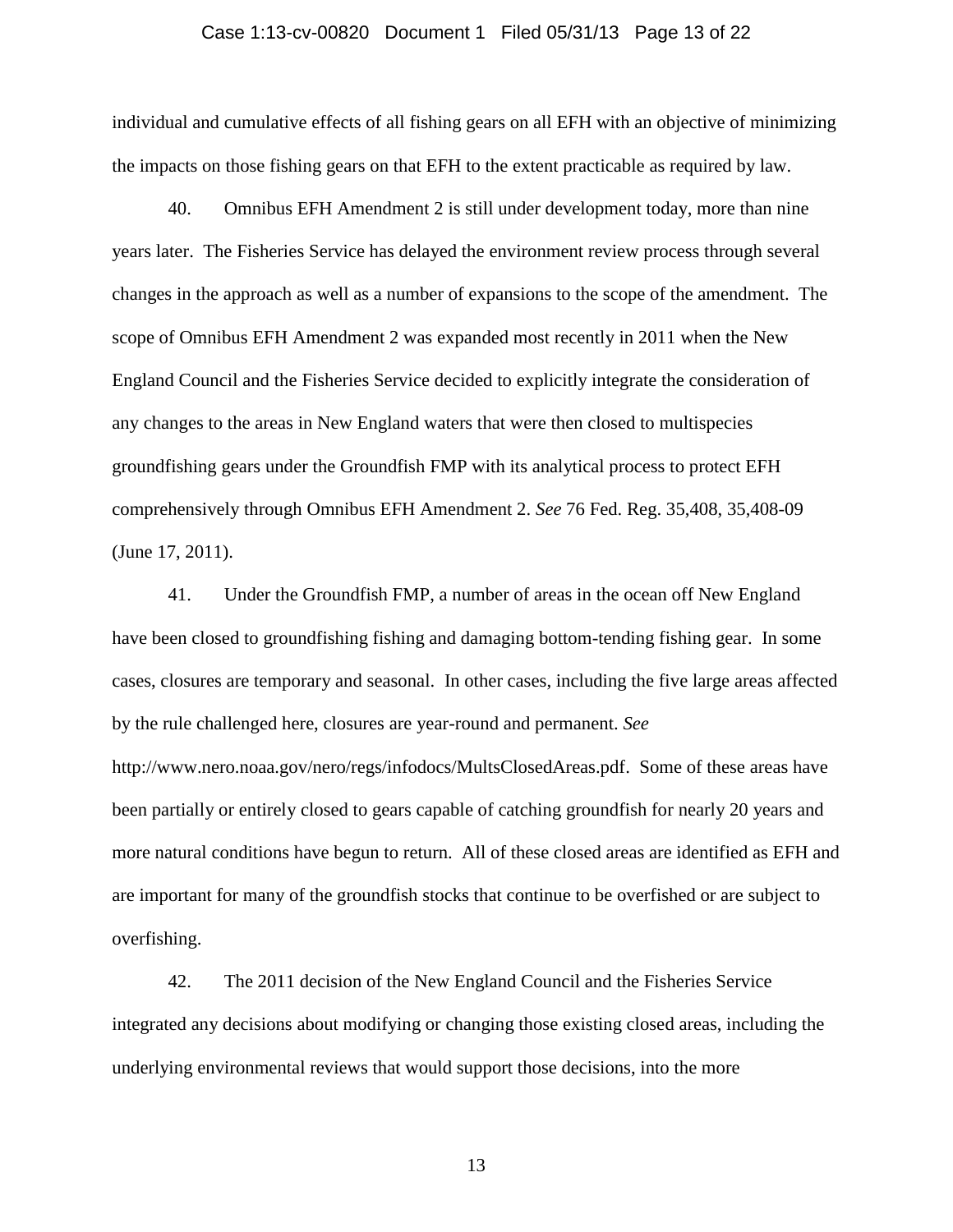#### Case 1:13-cv-00820 Document 1 Filed 05/31/13 Page 13 of 22

individual and cumulative effects of all fishing gears on all EFH with an objective of minimizing the impacts on those fishing gears on that EFH to the extent practicable as required by law.

40. Omnibus EFH Amendment 2 is still under development today, more than nine years later. The Fisheries Service has delayed the environment review process through several changes in the approach as well as a number of expansions to the scope of the amendment. The scope of Omnibus EFH Amendment 2 was expanded most recently in 2011 when the New England Council and the Fisheries Service decided to explicitly integrate the consideration of any changes to the areas in New England waters that were then closed to multispecies groundfishing gears under the Groundfish FMP with its analytical process to protect EFH comprehensively through Omnibus EFH Amendment 2. *See* 76 Fed. Reg. 35,408, 35,408-09 (June 17, 2011).

41. Under the Groundfish FMP, a number of areas in the ocean off New England have been closed to groundfishing fishing and damaging bottom-tending fishing gear. In some cases, closures are temporary and seasonal. In other cases, including the five large areas affected by the rule challenged here, closures are year-round and permanent. *See*  http://www.nero.noaa.gov/nero/regs/infodocs/MultsClosedAreas.pdf. Some of these areas have been partially or entirely closed to gears capable of catching groundfish for nearly 20 years and more natural conditions have begun to return. All of these closed areas are identified as EFH and are important for many of the groundfish stocks that continue to be overfished or are subject to overfishing.

42. The 2011 decision of the New England Council and the Fisheries Service integrated any decisions about modifying or changing those existing closed areas, including the underlying environmental reviews that would support those decisions, into the more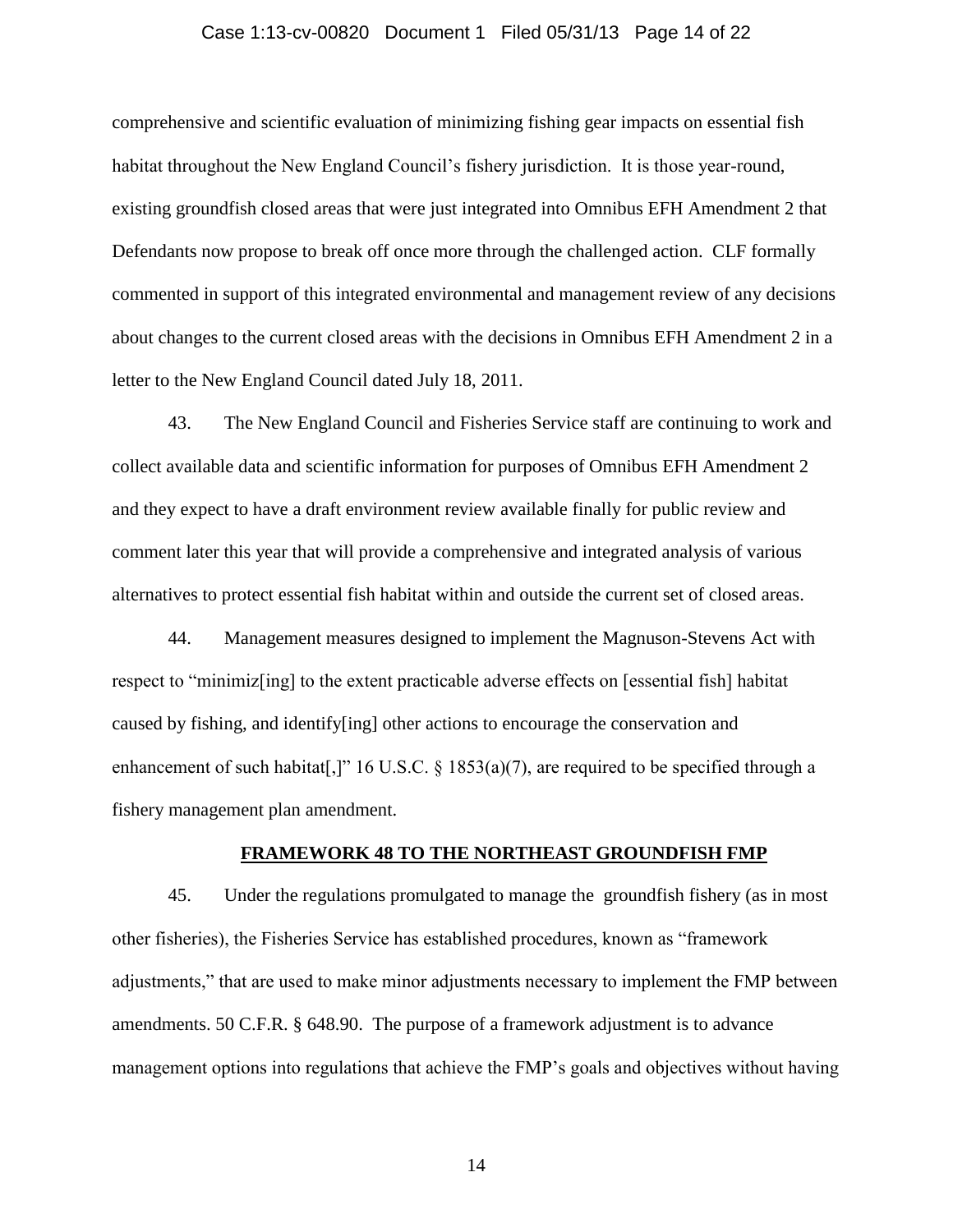#### Case 1:13-cv-00820 Document 1 Filed 05/31/13 Page 14 of 22

comprehensive and scientific evaluation of minimizing fishing gear impacts on essential fish habitat throughout the New England Council's fishery jurisdiction. It is those year-round, existing groundfish closed areas that were just integrated into Omnibus EFH Amendment 2 that Defendants now propose to break off once more through the challenged action. CLF formally commented in support of this integrated environmental and management review of any decisions about changes to the current closed areas with the decisions in Omnibus EFH Amendment 2 in a letter to the New England Council dated July 18, 2011.

43. The New England Council and Fisheries Service staff are continuing to work and collect available data and scientific information for purposes of Omnibus EFH Amendment 2 and they expect to have a draft environment review available finally for public review and comment later this year that will provide a comprehensive and integrated analysis of various alternatives to protect essential fish habitat within and outside the current set of closed areas.

44. Management measures designed to implement the Magnuson-Stevens Act with respect to "minimiz[ing] to the extent practicable adverse effects on [essential fish] habitat caused by fishing, and identify[ing] other actions to encourage the conservation and enhancement of such habitat[,]" 16 U.S.C. § 1853(a)(7), are required to be specified through a fishery management plan amendment.

### **FRAMEWORK 48 TO THE NORTHEAST GROUNDFISH FMP**

45. Under the regulations promulgated to manage the groundfish fishery (as in most other fisheries), the Fisheries Service has established procedures, known as "framework adjustments," that are used to make minor adjustments necessary to implement the FMP between amendments. 50 C.F.R. § 648.90. The purpose of a framework adjustment is to advance management options into regulations that achieve the FMP's goals and objectives without having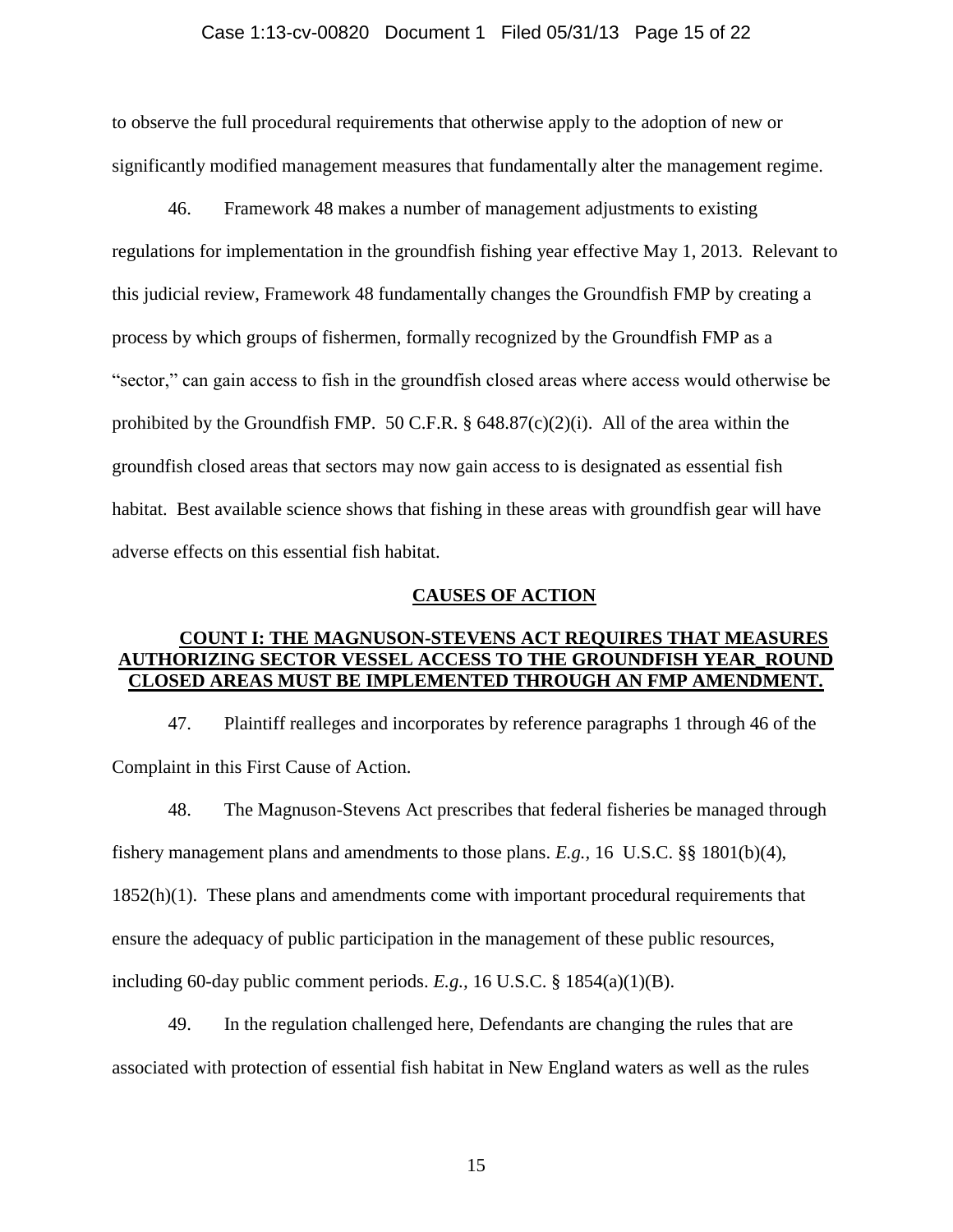#### Case 1:13-cv-00820 Document 1 Filed 05/31/13 Page 15 of 22

to observe the full procedural requirements that otherwise apply to the adoption of new or significantly modified management measures that fundamentally alter the management regime.

46. Framework 48 makes a number of management adjustments to existing regulations for implementation in the groundfish fishing year effective May 1, 2013. Relevant to this judicial review, Framework 48 fundamentally changes the Groundfish FMP by creating a process by which groups of fishermen, formally recognized by the Groundfish FMP as a "sector," can gain access to fish in the groundfish closed areas where access would otherwise be prohibited by the Groundfish FMP. 50 C.F.R.  $\S$  648.87(c)(2)(i). All of the area within the groundfish closed areas that sectors may now gain access to is designated as essential fish habitat. Best available science shows that fishing in these areas with groundfish gear will have adverse effects on this essential fish habitat.

### **CAUSES OF ACTION**

## **COUNT I: THE MAGNUSON-STEVENS ACT REQUIRES THAT MEASURES AUTHORIZING SECTOR VESSEL ACCESS TO THE GROUNDFISH YEAR\_ROUND CLOSED AREAS MUST BE IMPLEMENTED THROUGH AN FMP AMENDMENT.**

47. Plaintiff realleges and incorporates by reference paragraphs 1 through 46 of the Complaint in this First Cause of Action.

48. The Magnuson-Stevens Act prescribes that federal fisheries be managed through fishery management plans and amendments to those plans. *E.g.,* 16 U.S.C. §§ 1801(b)(4), 1852(h)(1). These plans and amendments come with important procedural requirements that ensure the adequacy of public participation in the management of these public resources, including 60-day public comment periods. *E.g.,* 16 U.S.C. § 1854(a)(1)(B).

49. In the regulation challenged here, Defendants are changing the rules that are associated with protection of essential fish habitat in New England waters as well as the rules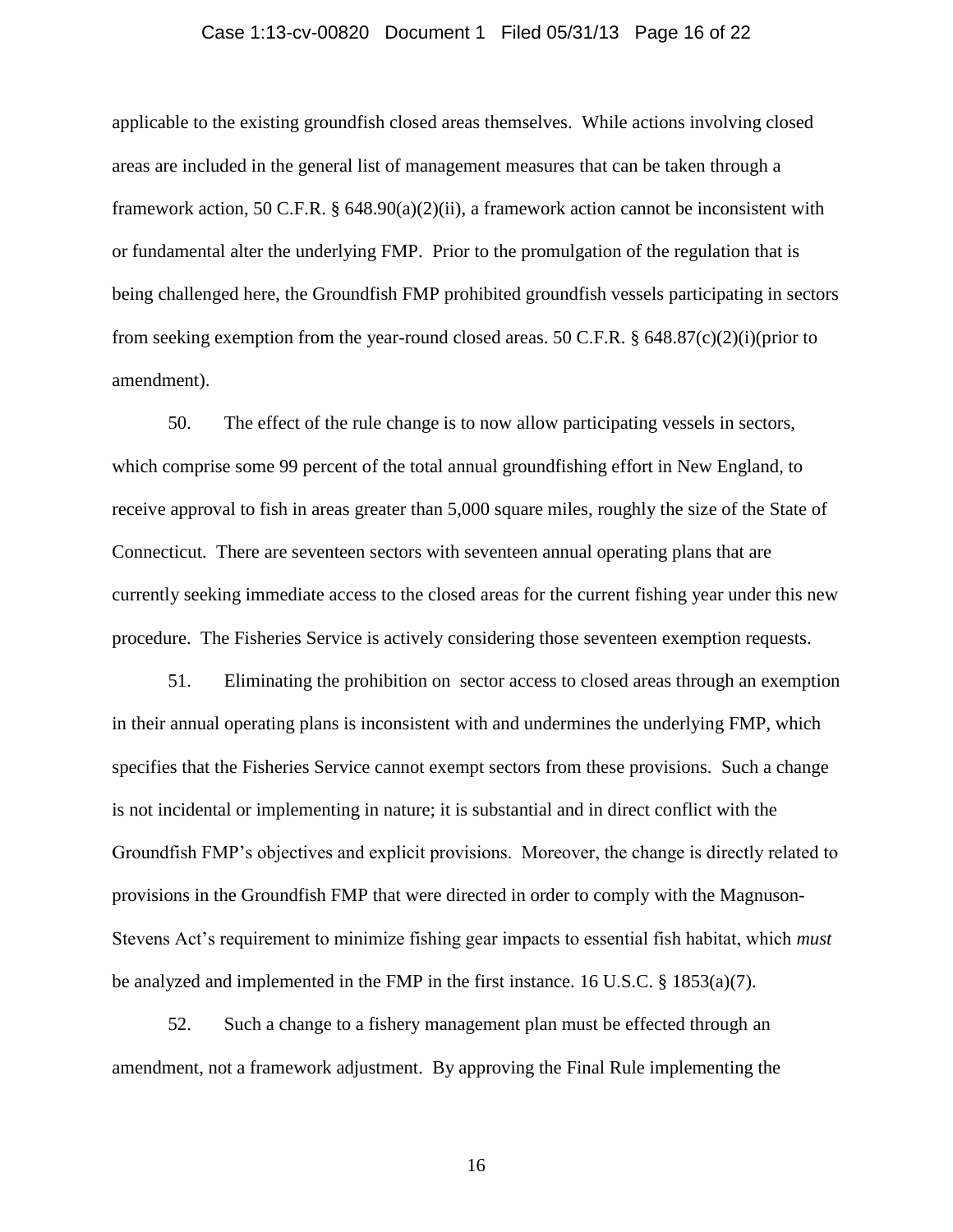#### Case 1:13-cv-00820 Document 1 Filed 05/31/13 Page 16 of 22

applicable to the existing groundfish closed areas themselves. While actions involving closed areas are included in the general list of management measures that can be taken through a framework action, 50 C.F.R. § 648.90(a)(2)(ii), a framework action cannot be inconsistent with or fundamental alter the underlying FMP. Prior to the promulgation of the regulation that is being challenged here, the Groundfish FMP prohibited groundfish vessels participating in sectors from seeking exemption from the year-round closed areas. 50 C.F.R. § 648.87(c)(2)(i)(prior to amendment).

50. The effect of the rule change is to now allow participating vessels in sectors, which comprise some 99 percent of the total annual groundfishing effort in New England, to receive approval to fish in areas greater than 5,000 square miles, roughly the size of the State of Connecticut. There are seventeen sectors with seventeen annual operating plans that are currently seeking immediate access to the closed areas for the current fishing year under this new procedure. The Fisheries Service is actively considering those seventeen exemption requests.

51. Eliminating the prohibition on sector access to closed areas through an exemption in their annual operating plans is inconsistent with and undermines the underlying FMP, which specifies that the Fisheries Service cannot exempt sectors from these provisions. Such a change is not incidental or implementing in nature; it is substantial and in direct conflict with the Groundfish FMP's objectives and explicit provisions. Moreover, the change is directly related to provisions in the Groundfish FMP that were directed in order to comply with the Magnuson-Stevens Act's requirement to minimize fishing gear impacts to essential fish habitat, which *must* be analyzed and implemented in the FMP in the first instance. 16 U.S.C. § 1853(a)(7).

52. Such a change to a fishery management plan must be effected through an amendment, not a framework adjustment. By approving the Final Rule implementing the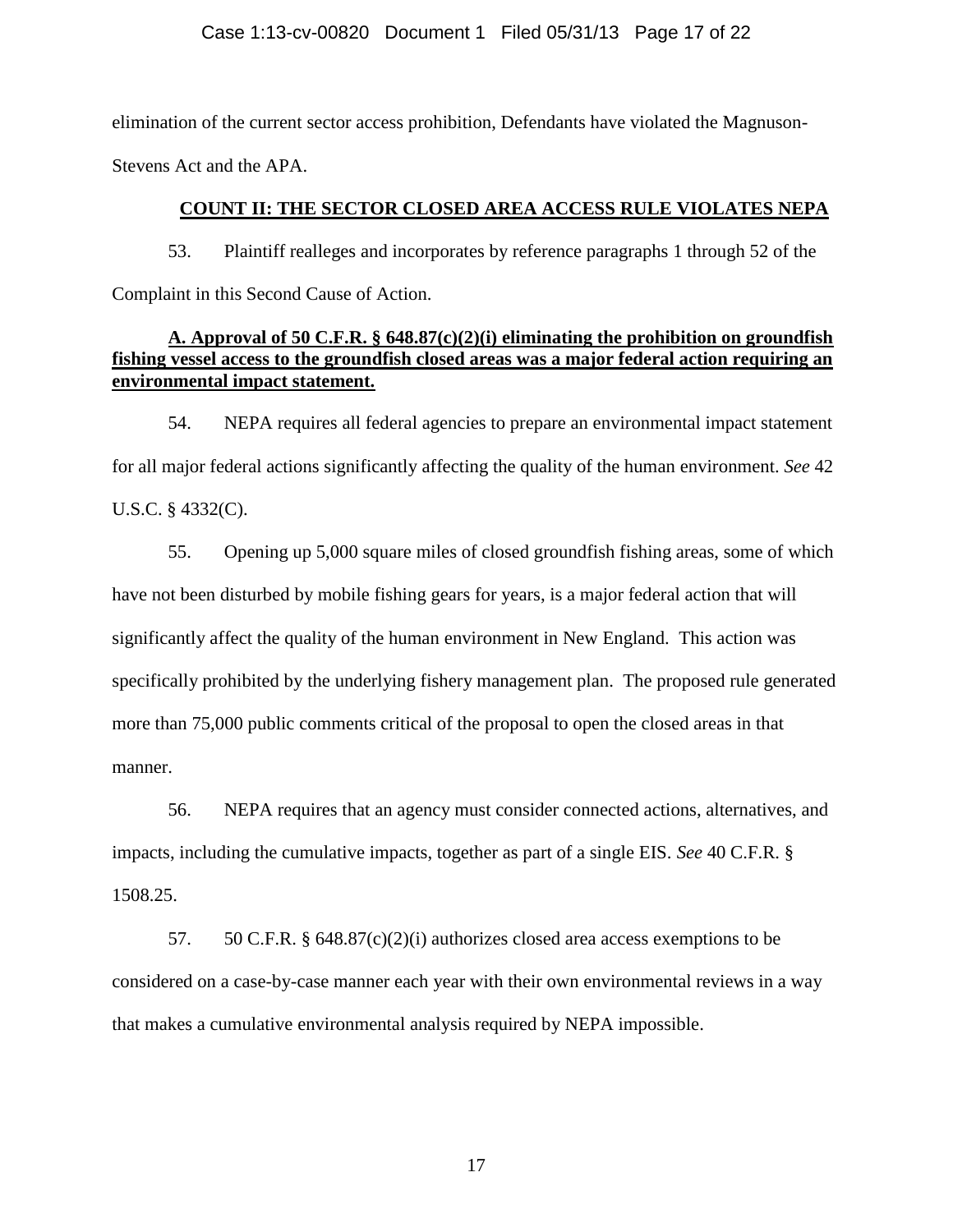### Case 1:13-cv-00820 Document 1 Filed 05/31/13 Page 17 of 22

elimination of the current sector access prohibition, Defendants have violated the Magnuson-Stevens Act and the APA.

## **COUNT II: THE SECTOR CLOSED AREA ACCESS RULE VIOLATES NEPA**

53. Plaintiff realleges and incorporates by reference paragraphs 1 through 52 of the Complaint in this Second Cause of Action.

# **A. Approval of 50 C.F.R. § 648.87(c)(2)(i) eliminating the prohibition on groundfish fishing vessel access to the groundfish closed areas was a major federal action requiring an environmental impact statement.**

54. NEPA requires all federal agencies to prepare an environmental impact statement for all major federal actions significantly affecting the quality of the human environment. *See* 42 U.S.C. § 4332(C).

55. Opening up 5,000 square miles of closed groundfish fishing areas, some of which have not been disturbed by mobile fishing gears for years, is a major federal action that will significantly affect the quality of the human environment in New England. This action was specifically prohibited by the underlying fishery management plan. The proposed rule generated more than 75,000 public comments critical of the proposal to open the closed areas in that manner.

56. NEPA requires that an agency must consider connected actions, alternatives, and impacts, including the cumulative impacts, together as part of a single EIS. *See* 40 C.F.R. § 1508.25.

57. 50 C.F.R. § 648.87(c)(2)(i) authorizes closed area access exemptions to be considered on a case-by-case manner each year with their own environmental reviews in a way that makes a cumulative environmental analysis required by NEPA impossible.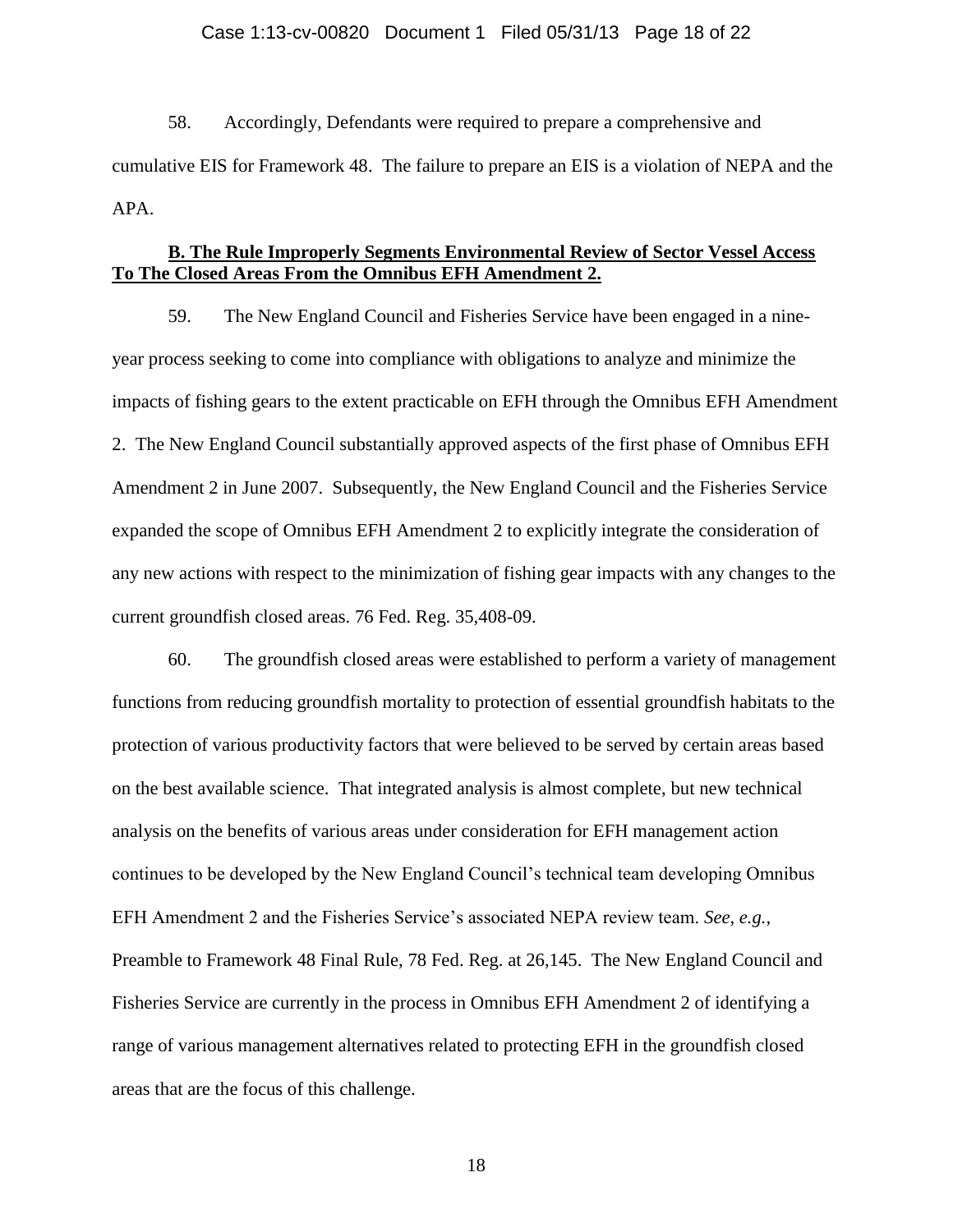#### Case 1:13-cv-00820 Document 1 Filed 05/31/13 Page 18 of 22

58. Accordingly, Defendants were required to prepare a comprehensive and cumulative EIS for Framework 48. The failure to prepare an EIS is a violation of NEPA and the APA.

## **B. The Rule Improperly Segments Environmental Review of Sector Vessel Access To The Closed Areas From the Omnibus EFH Amendment 2.**

59. The New England Council and Fisheries Service have been engaged in a nineyear process seeking to come into compliance with obligations to analyze and minimize the impacts of fishing gears to the extent practicable on EFH through the Omnibus EFH Amendment 2. The New England Council substantially approved aspects of the first phase of Omnibus EFH Amendment 2 in June 2007. Subsequently, the New England Council and the Fisheries Service expanded the scope of Omnibus EFH Amendment 2 to explicitly integrate the consideration of any new actions with respect to the minimization of fishing gear impacts with any changes to the current groundfish closed areas. 76 Fed. Reg. 35,408-09.

60. The groundfish closed areas were established to perform a variety of management functions from reducing groundfish mortality to protection of essential groundfish habitats to the protection of various productivity factors that were believed to be served by certain areas based on the best available science. That integrated analysis is almost complete, but new technical analysis on the benefits of various areas under consideration for EFH management action continues to be developed by the New England Council's technical team developing Omnibus EFH Amendment 2 and the Fisheries Service's associated NEPA review team. *See, e.g.,*  Preamble to Framework 48 Final Rule, 78 Fed. Reg. at 26,145. The New England Council and Fisheries Service are currently in the process in Omnibus EFH Amendment 2 of identifying a range of various management alternatives related to protecting EFH in the groundfish closed areas that are the focus of this challenge.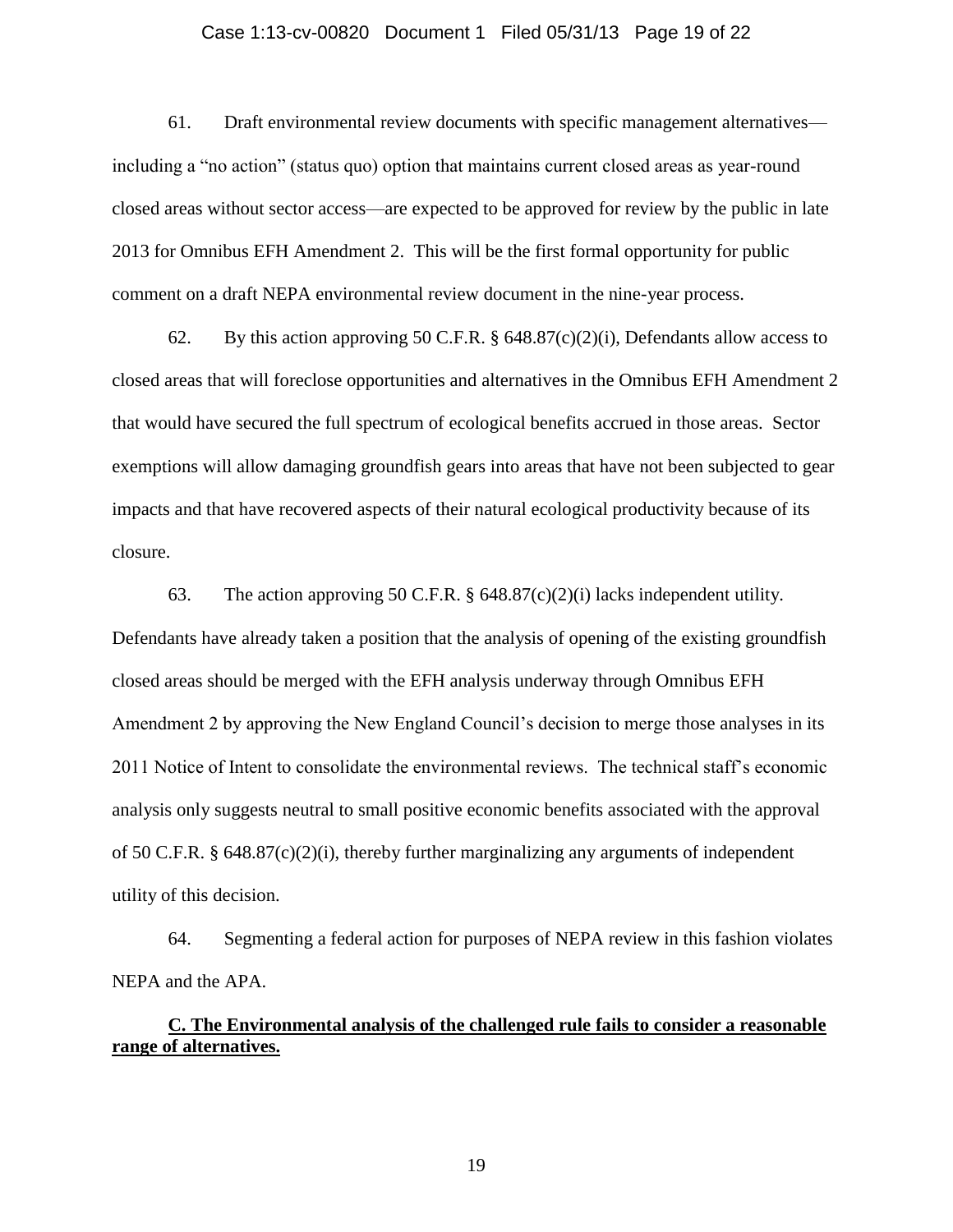#### Case 1:13-cv-00820 Document 1 Filed 05/31/13 Page 19 of 22

61. Draft environmental review documents with specific management alternatives including a "no action" (status quo) option that maintains current closed areas as year-round closed areas without sector access—are expected to be approved for review by the public in late 2013 for Omnibus EFH Amendment 2. This will be the first formal opportunity for public comment on a draft NEPA environmental review document in the nine-year process.

62. By this action approving 50 C.F.R. § 648.87(c)(2)(i), Defendants allow access to closed areas that will foreclose opportunities and alternatives in the Omnibus EFH Amendment 2 that would have secured the full spectrum of ecological benefits accrued in those areas. Sector exemptions will allow damaging groundfish gears into areas that have not been subjected to gear impacts and that have recovered aspects of their natural ecological productivity because of its closure.

63. The action approving 50 C.F.R. § 648.87(c)(2)(i) lacks independent utility. Defendants have already taken a position that the analysis of opening of the existing groundfish closed areas should be merged with the EFH analysis underway through Omnibus EFH Amendment 2 by approving the New England Council's decision to merge those analyses in its 2011 Notice of Intent to consolidate the environmental reviews. The technical staff's economic analysis only suggests neutral to small positive economic benefits associated with the approval of 50 C.F.R. § 648.87(c)(2)(i), thereby further marginalizing any arguments of independent utility of this decision.

64. Segmenting a federal action for purposes of NEPA review in this fashion violates NEPA and the APA.

# **C. The Environmental analysis of the challenged rule fails to consider a reasonable range of alternatives.**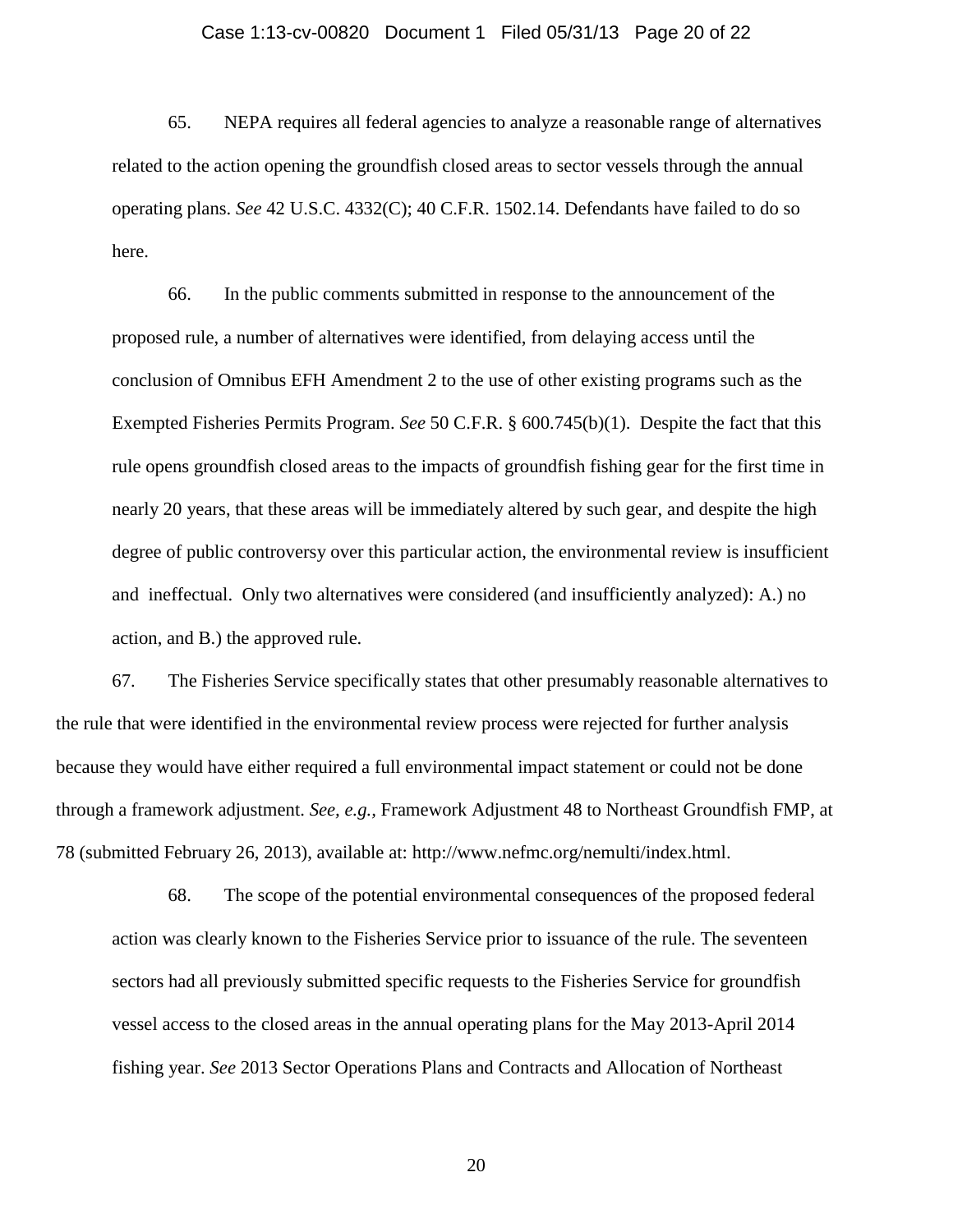#### Case 1:13-cv-00820 Document 1 Filed 05/31/13 Page 20 of 22

65. NEPA requires all federal agencies to analyze a reasonable range of alternatives related to the action opening the groundfish closed areas to sector vessels through the annual operating plans. *See* 42 U.S.C. 4332(C); 40 C.F.R. 1502.14. Defendants have failed to do so here.

66. In the public comments submitted in response to the announcement of the proposed rule, a number of alternatives were identified, from delaying access until the conclusion of Omnibus EFH Amendment 2 to the use of other existing programs such as the Exempted Fisheries Permits Program. *See* 50 C.F.R. § 600.745(b)(1). Despite the fact that this rule opens groundfish closed areas to the impacts of groundfish fishing gear for the first time in nearly 20 years, that these areas will be immediately altered by such gear, and despite the high degree of public controversy over this particular action, the environmental review is insufficient and ineffectual. Only two alternatives were considered (and insufficiently analyzed): A.) no action, and B.) the approved rule.

67. The Fisheries Service specifically states that other presumably reasonable alternatives to the rule that were identified in the environmental review process were rejected for further analysis because they would have either required a full environmental impact statement or could not be done through a framework adjustment. *See, e.g.,* Framework Adjustment 48 to Northeast Groundfish FMP, at 78 (submitted February 26, 2013), available at: http://www.nefmc.org/nemulti/index.html.

68. The scope of the potential environmental consequences of the proposed federal action was clearly known to the Fisheries Service prior to issuance of the rule. The seventeen sectors had all previously submitted specific requests to the Fisheries Service for groundfish vessel access to the closed areas in the annual operating plans for the May 2013-April 2014 fishing year. *See* 2013 Sector Operations Plans and Contracts and Allocation of Northeast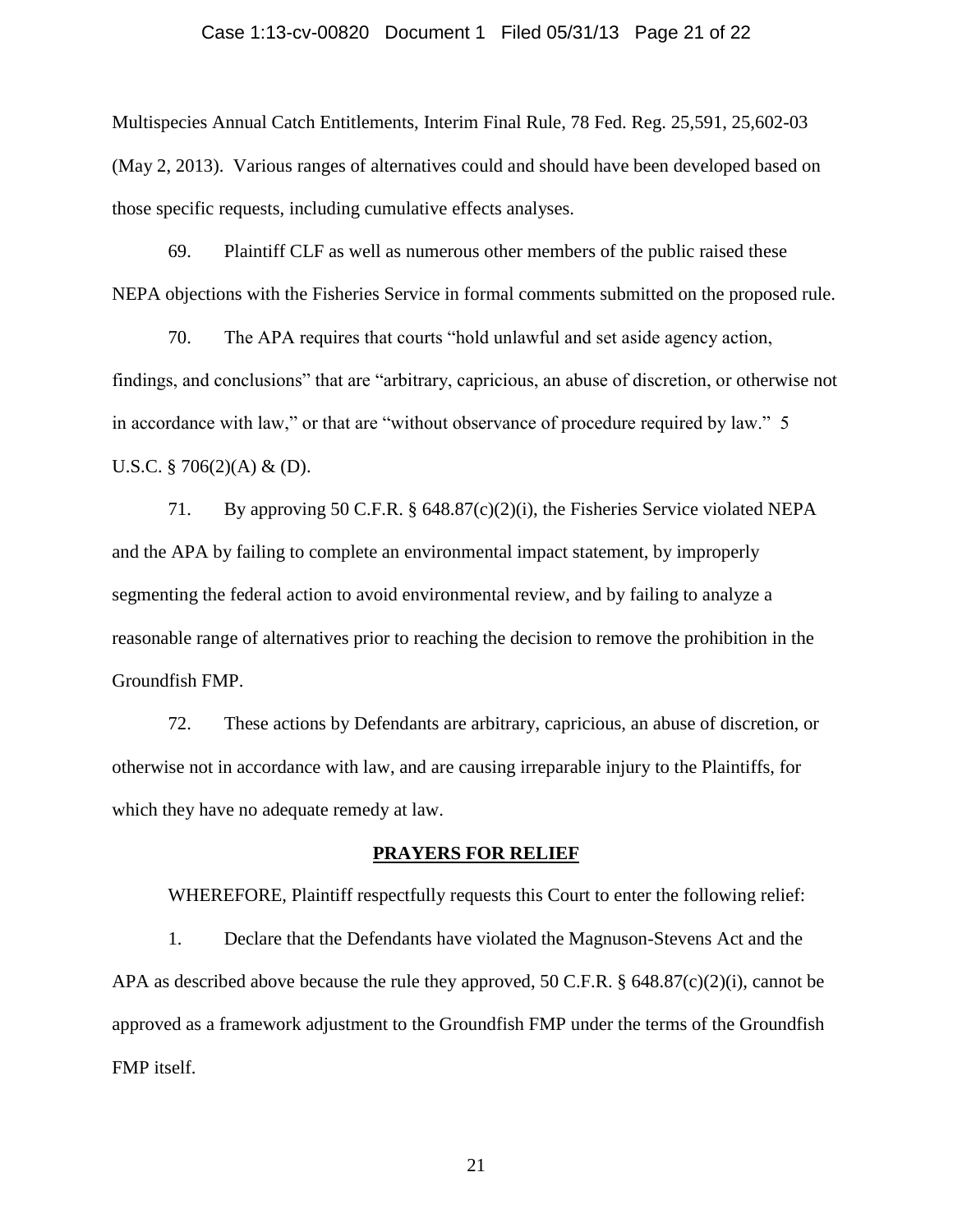#### Case 1:13-cv-00820 Document 1 Filed 05/31/13 Page 21 of 22

Multispecies Annual Catch Entitlements, Interim Final Rule, 78 Fed. Reg. 25,591, 25,602-03 (May 2, 2013). Various ranges of alternatives could and should have been developed based on those specific requests, including cumulative effects analyses.

69. Plaintiff CLF as well as numerous other members of the public raised these NEPA objections with the Fisheries Service in formal comments submitted on the proposed rule.

70. The APA requires that courts "hold unlawful and set aside agency action, findings, and conclusions" that are "arbitrary, capricious, an abuse of discretion, or otherwise not in accordance with law," or that are "without observance of procedure required by law." 5 U.S.C.  $\S$  706(2)(A) & (D).

71. By approving 50 C.F.R. § 648.87(c)(2)(i), the Fisheries Service violated NEPA and the APA by failing to complete an environmental impact statement, by improperly segmenting the federal action to avoid environmental review, and by failing to analyze a reasonable range of alternatives prior to reaching the decision to remove the prohibition in the Groundfish FMP.

72. These actions by Defendants are arbitrary, capricious, an abuse of discretion, or otherwise not in accordance with law, and are causing irreparable injury to the Plaintiffs, for which they have no adequate remedy at law.

#### **PRAYERS FOR RELIEF**

WHEREFORE, Plaintiff respectfully requests this Court to enter the following relief:

1. Declare that the Defendants have violated the Magnuson-Stevens Act and the APA as described above because the rule they approved, 50 C.F.R. § 648.87(c)(2)(i), cannot be approved as a framework adjustment to the Groundfish FMP under the terms of the Groundfish FMP itself.